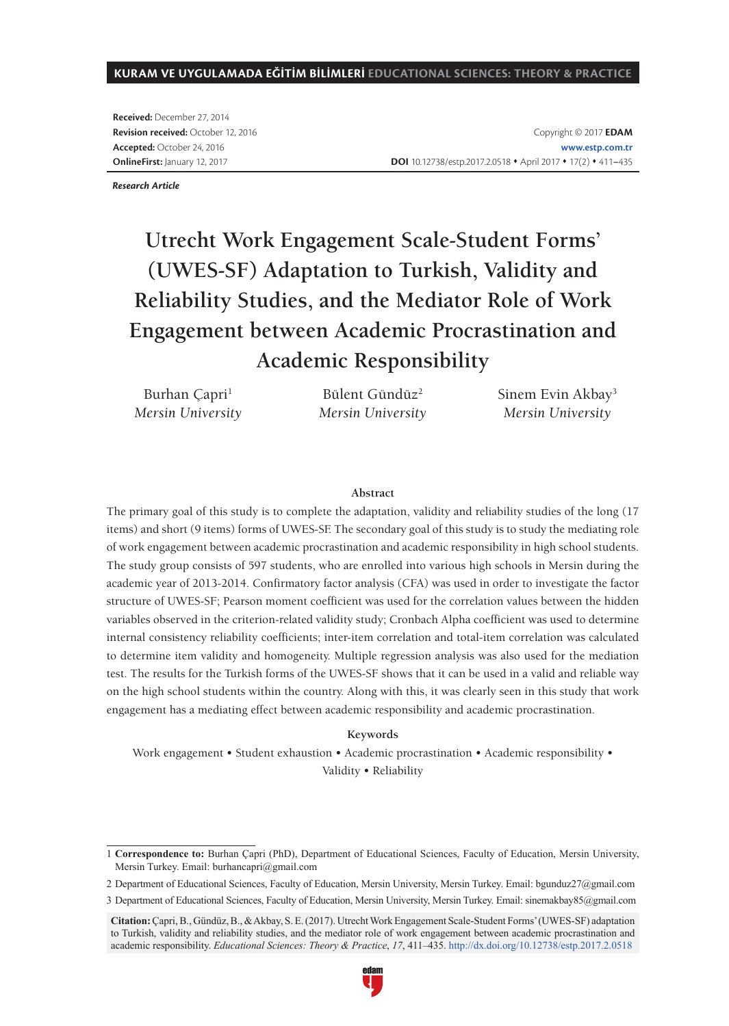#### **KURAM VE UYGULAMADA EĞİTİM BİLİMLERİ EDUCATIONAL SCIENCES: THEORY & PRACTICE**

**Received:** December 27, 2014 **Revision received:** October 12, 2016 **Accepted:** October 24, 2016 **OnlineFirst:** January 12, 2017

*Research Article*

# **Utrecht Work Engagement Scale-Student Forms' (UWES-SF) Adaptation to Turkish, Validity and Reliability Studies, and the Mediator Role of Work Engagement between Academic Procrastination and Academic Responsibility**

Burhan Çapri<sup>1</sup> *Mersin University*

Bülent Gündüz<sup>2</sup> *Mersin University* Sinem Evin Akbay<sup>3</sup> *Mersin University*

#### **Abstract**

The primary goal of this study is to complete the adaptation, validity and reliability studies of the long (17 items) and short (9 items) forms of UWES-SF. The secondary goal of this study is to study the mediating role of work engagement between academic procrastination and academic responsibility in high school students. The study group consists of 597 students, who are enrolled into various high schools in Mersin during the academic year of 2013-2014. Confirmatory factor analysis (CFA) was used in order to investigate the factor structure of UWES-SF; Pearson moment coefficient was used for the correlation values between the hidden variables observed in the criterion-related validity study; Cronbach Alpha coefficient was used to determine internal consistency reliability coefficients; inter-item correlation and total-item correlation was calculated to determine item validity and homogeneity. Multiple regression analysis was also used for the mediation test. The results for the Turkish forms of the UWES-SF shows that it can be used in a valid and reliable way on the high school students within the country. Along with this, it was clearly seen in this study that work engagement has a mediating effect between academic responsibility and academic procrastination.

#### **Keywords**

Work engagement • Student exhaustion • Academic procrastination • Academic responsibility • Validity • Reliability

2 Department of Educational Sciences, Faculty of Education, Mersin University, Mersin Turkey. Email: bgunduz27@gmail.com

**Citation:** Çapri, B., Gündüz, B., & Akbay, S. E. (2017). Utrecht Work Engagement Scale-Student Forms' (UWES-SF) adaptation to Turkish, validity and reliability studies, and the mediator role of work engagement between academic procrastination and academic responsibility. *Educational Sciences: Theory & Practice*, *17*, 411–435. http://dx.doi.org/10.12738/estp.2017.2.0518



<sup>1</sup> **Correspondence to:** Burhan Çapri (PhD), Department of Educational Sciences, Faculty of Education, Mersin University, Mersin Turkey. Email: burhancapri@gmail.com

<sup>3</sup> Department of Educational Sciences, Faculty of Education, Mersin University, Mersin Turkey. Email: sinemakbay85@gmail.com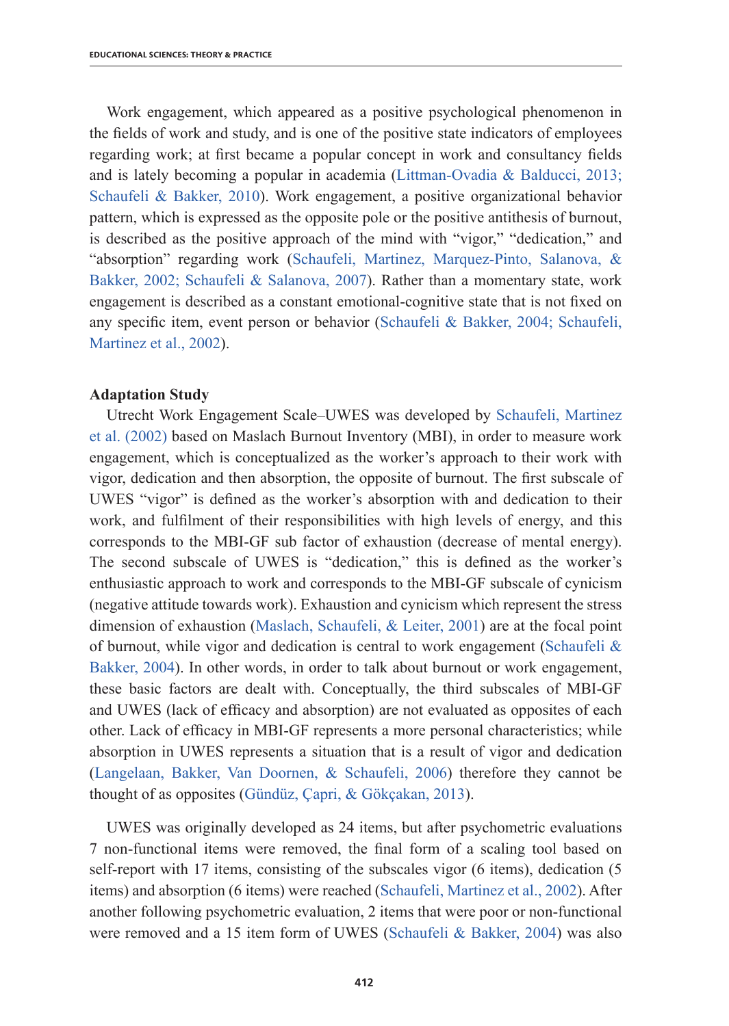Work engagement, which appeared as a positive psychological phenomenon in the fields of work and study, and is one of the positive state indicators of employees regarding work; at first became a popular concept in work and consultancy fields and is lately becoming a popular in academia (Littman-Ovadia & Balducci, 2013; Schaufeli & Bakker, 2010). Work engagement, a positive organizational behavior pattern, which is expressed as the opposite pole or the positive antithesis of burnout, is described as the positive approach of the mind with "vigor," "dedication," and "absorption" regarding work (Schaufeli, Martinez, Marquez-Pinto, Salanova, & Bakker, 2002; Schaufeli & Salanova, 2007). Rather than a momentary state, work engagement is described as a constant emotional-cognitive state that is not fixed on any specific item, event person or behavior (Schaufeli & Bakker, 2004; Schaufeli, Martinez et al., 2002).

## **Adaptation Study**

Utrecht Work Engagement Scale–UWES was developed by Schaufeli, Martinez et al. (2002) based on Maslach Burnout Inventory (MBI), in order to measure work engagement, which is conceptualized as the worker's approach to their work with vigor, dedication and then absorption, the opposite of burnout. The first subscale of UWES "vigor" is defined as the worker's absorption with and dedication to their work, and fulfilment of their responsibilities with high levels of energy, and this corresponds to the MBI-GF sub factor of exhaustion (decrease of mental energy). The second subscale of UWES is "dedication," this is defined as the worker's enthusiastic approach to work and corresponds to the MBI-GF subscale of cynicism (negative attitude towards work). Exhaustion and cynicism which represent the stress dimension of exhaustion (Maslach, Schaufeli, & Leiter, 2001) are at the focal point of burnout, while vigor and dedication is central to work engagement (Schaufeli  $\&$ Bakker, 2004). In other words, in order to talk about burnout or work engagement, these basic factors are dealt with. Conceptually, the third subscales of MBI-GF and UWES (lack of efficacy and absorption) are not evaluated as opposites of each other. Lack of efficacy in MBI-GF represents a more personal characteristics; while absorption in UWES represents a situation that is a result of vigor and dedication (Langelaan, Bakker, Van Doornen, & Schaufeli, 2006) therefore they cannot be thought of as opposites (Gündüz, Çapri, & Gökçakan, 2013).

UWES was originally developed as 24 items, but after psychometric evaluations 7 non-functional items were removed, the final form of a scaling tool based on self-report with 17 items, consisting of the subscales vigor (6 items), dedication (5 items) and absorption (6 items) were reached (Schaufeli, Martinez et al., 2002). After another following psychometric evaluation, 2 items that were poor or non-functional were removed and a 15 item form of UWES (Schaufeli & Bakker, 2004) was also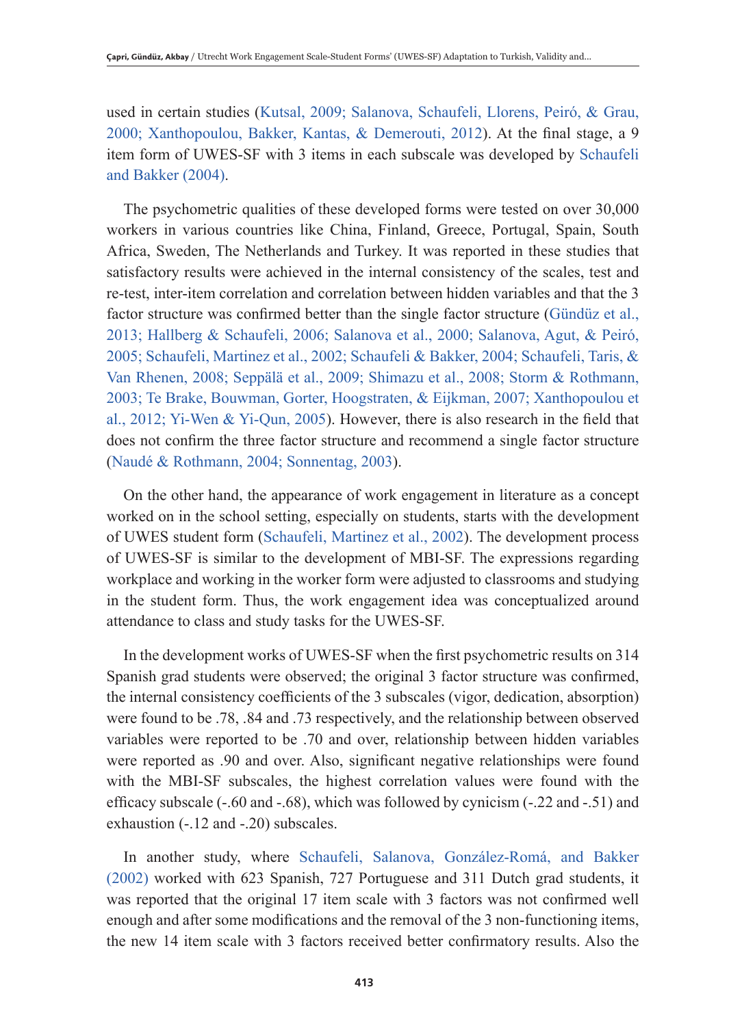used in certain studies (Kutsal, 2009; Salanova, Schaufeli, Llorens, Peiró, & Grau, 2000; Xanthopoulou, Bakker, Kantas, & Demerouti, 2012). At the final stage, a 9 item form of UWES-SF with 3 items in each subscale was developed by Schaufeli and Bakker (2004).

The psychometric qualities of these developed forms were tested on over 30,000 workers in various countries like China, Finland, Greece, Portugal, Spain, South Africa, Sweden, The Netherlands and Turkey. It was reported in these studies that satisfactory results were achieved in the internal consistency of the scales, test and re-test, inter-item correlation and correlation between hidden variables and that the 3 factor structure was confirmed better than the single factor structure (Gündüz et al., 2013; Hallberg & Schaufeli, 2006; Salanova et al., 2000; Salanova, Agut, & Peiró, 2005; Schaufeli, Martinez et al., 2002; Schaufeli & Bakker, 2004; Schaufeli, Taris, & Van Rhenen, 2008; Seppälä et al., 2009; Shimazu et al., 2008; Storm & Rothmann, 2003; Te Brake, Bouwman, Gorter, Hoogstraten, & Eijkman, 2007; Xanthopoulou et al., 2012; Yi-Wen & Yi-Qun, 2005). However, there is also research in the field that does not confirm the three factor structure and recommend a single factor structure (Naudé & Rothmann, 2004; Sonnentag, 2003).

On the other hand, the appearance of work engagement in literature as a concept worked on in the school setting, especially on students, starts with the development of UWES student form (Schaufeli, Martinez et al., 2002). The development process of UWES-SF is similar to the development of MBI-SF. The expressions regarding workplace and working in the worker form were adjusted to classrooms and studying in the student form. Thus, the work engagement idea was conceptualized around attendance to class and study tasks for the UWES-SF.

In the development works of UWES-SF when the first psychometric results on 314 Spanish grad students were observed; the original 3 factor structure was confirmed, the internal consistency coefficients of the 3 subscales (vigor, dedication, absorption) were found to be .78, .84 and .73 respectively, and the relationship between observed variables were reported to be .70 and over, relationship between hidden variables were reported as .90 and over. Also, significant negative relationships were found with the MBI-SF subscales, the highest correlation values were found with the efficacy subscale (-.60 and -.68), which was followed by cynicism (-.22 and -.51) and exhaustion (-.12 and -.20) subscales.

In another study, where Schaufeli, Salanova, González-Romá, and Bakker (2002) worked with 623 Spanish, 727 Portuguese and 311 Dutch grad students, it was reported that the original 17 item scale with 3 factors was not confirmed well enough and after some modifications and the removal of the 3 non-functioning items, the new 14 item scale with 3 factors received better confirmatory results. Also the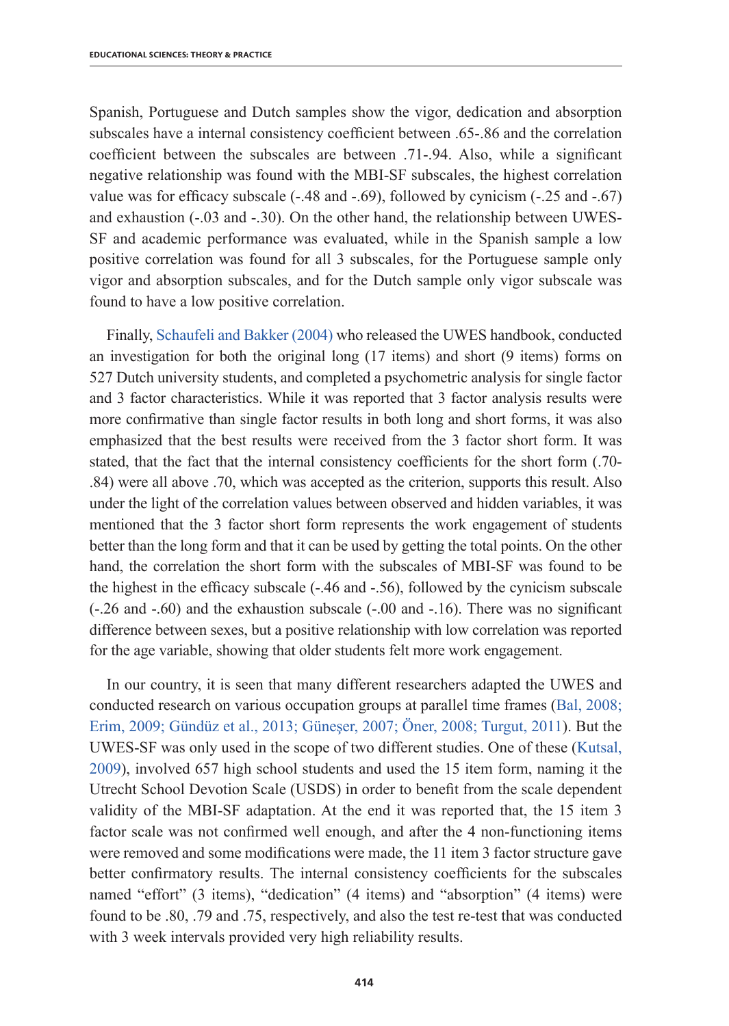Spanish, Portuguese and Dutch samples show the vigor, dedication and absorption subscales have a internal consistency coefficient between .65-.86 and the correlation coefficient between the subscales are between .71-.94. Also, while a significant negative relationship was found with the MBI-SF subscales, the highest correlation value was for efficacy subscale (-.48 and -.69), followed by cynicism (-.25 and -.67) and exhaustion (-.03 and -.30). On the other hand, the relationship between UWES-SF and academic performance was evaluated, while in the Spanish sample a low positive correlation was found for all 3 subscales, for the Portuguese sample only vigor and absorption subscales, and for the Dutch sample only vigor subscale was found to have a low positive correlation.

Finally, Schaufeli and Bakker (2004) who released the UWES handbook, conducted an investigation for both the original long (17 items) and short (9 items) forms on 527 Dutch university students, and completed a psychometric analysis for single factor and 3 factor characteristics. While it was reported that 3 factor analysis results were more confirmative than single factor results in both long and short forms, it was also emphasized that the best results were received from the 3 factor short form. It was stated, that the fact that the internal consistency coefficients for the short form (.70- .84) were all above .70, which was accepted as the criterion, supports this result. Also under the light of the correlation values between observed and hidden variables, it was mentioned that the 3 factor short form represents the work engagement of students better than the long form and that it can be used by getting the total points. On the other hand, the correlation the short form with the subscales of MBI-SF was found to be the highest in the efficacy subscale (-.46 and -.56), followed by the cynicism subscale (-.26 and -.60) and the exhaustion subscale (-.00 and -.16). There was no significant difference between sexes, but a positive relationship with low correlation was reported for the age variable, showing that older students felt more work engagement.

In our country, it is seen that many different researchers adapted the UWES and conducted research on various occupation groups at parallel time frames (Bal, 2008; Erim, 2009; Gündüz et al., 2013; Güneşer, 2007; Öner, 2008; Turgut, 2011). But the UWES-SF was only used in the scope of two different studies. One of these (Kutsal, 2009), involved 657 high school students and used the 15 item form, naming it the Utrecht School Devotion Scale (USDS) in order to benefit from the scale dependent validity of the MBI-SF adaptation. At the end it was reported that, the 15 item 3 factor scale was not confirmed well enough, and after the 4 non-functioning items were removed and some modifications were made, the 11 item 3 factor structure gave better confirmatory results. The internal consistency coefficients for the subscales named "effort" (3 items), "dedication" (4 items) and "absorption" (4 items) were found to be .80, .79 and .75, respectively, and also the test re-test that was conducted with 3 week intervals provided very high reliability results.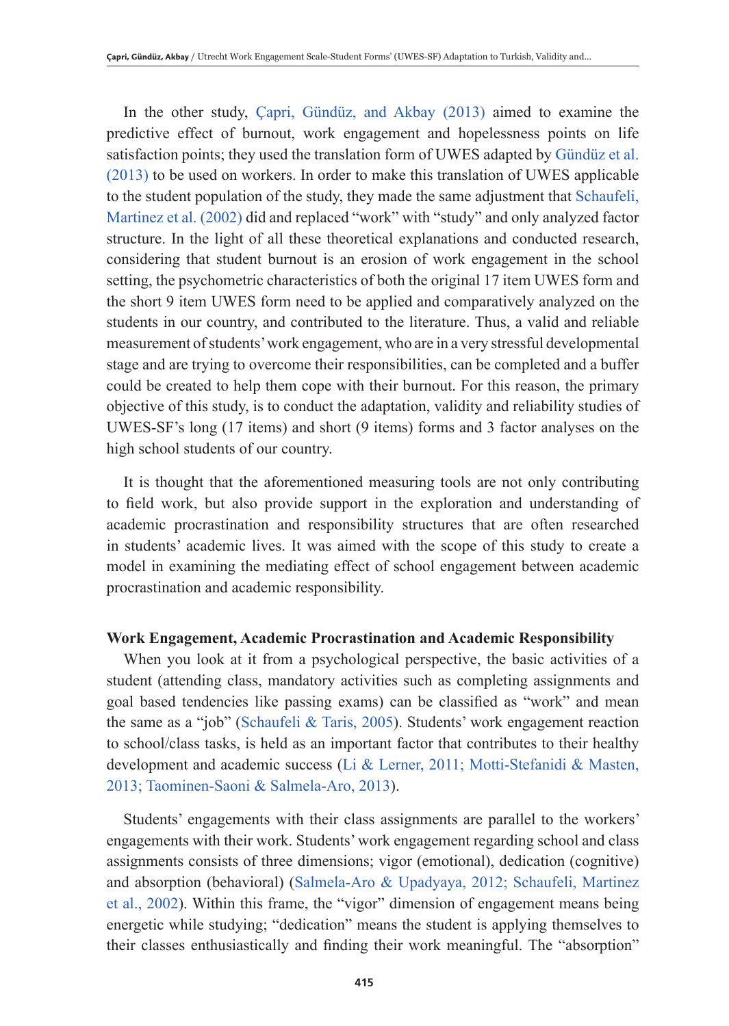In the other study, Çapri, Gündüz, and Akbay (2013) aimed to examine the predictive effect of burnout, work engagement and hopelessness points on life satisfaction points; they used the translation form of UWES adapted by Gündüz et al. (2013) to be used on workers. In order to make this translation of UWES applicable to the student population of the study, they made the same adjustment that Schaufeli, Martinez et al. (2002) did and replaced "work" with "study" and only analyzed factor structure. In the light of all these theoretical explanations and conducted research, considering that student burnout is an erosion of work engagement in the school setting, the psychometric characteristics of both the original 17 item UWES form and the short 9 item UWES form need to be applied and comparatively analyzed on the students in our country, and contributed to the literature. Thus, a valid and reliable measurement of students' work engagement, who are in a very stressful developmental stage and are trying to overcome their responsibilities, can be completed and a buffer could be created to help them cope with their burnout. For this reason, the primary objective of this study, is to conduct the adaptation, validity and reliability studies of UWES-SF's long (17 items) and short (9 items) forms and 3 factor analyses on the high school students of our country.

It is thought that the aforementioned measuring tools are not only contributing to field work, but also provide support in the exploration and understanding of academic procrastination and responsibility structures that are often researched in students' academic lives. It was aimed with the scope of this study to create a model in examining the mediating effect of school engagement between academic procrastination and academic responsibility.

#### **Work Engagement, Academic Procrastination and Academic Responsibility**

When you look at it from a psychological perspective, the basic activities of a student (attending class, mandatory activities such as completing assignments and goal based tendencies like passing exams) can be classified as "work" and mean the same as a "job" (Schaufeli & Taris, 2005). Students' work engagement reaction to school/class tasks, is held as an important factor that contributes to their healthy development and academic success (Li & Lerner, 2011; Motti-Stefanidi & Masten, 2013; Taominen-Saoni & Salmela-Aro, 2013).

Students' engagements with their class assignments are parallel to the workers' engagements with their work. Students' work engagement regarding school and class assignments consists of three dimensions; vigor (emotional), dedication (cognitive) and absorption (behavioral) (Salmela-Aro & Upadyaya, 2012; Schaufeli, Martinez et al., 2002). Within this frame, the "vigor" dimension of engagement means being energetic while studying; "dedication" means the student is applying themselves to their classes enthusiastically and finding their work meaningful. The "absorption"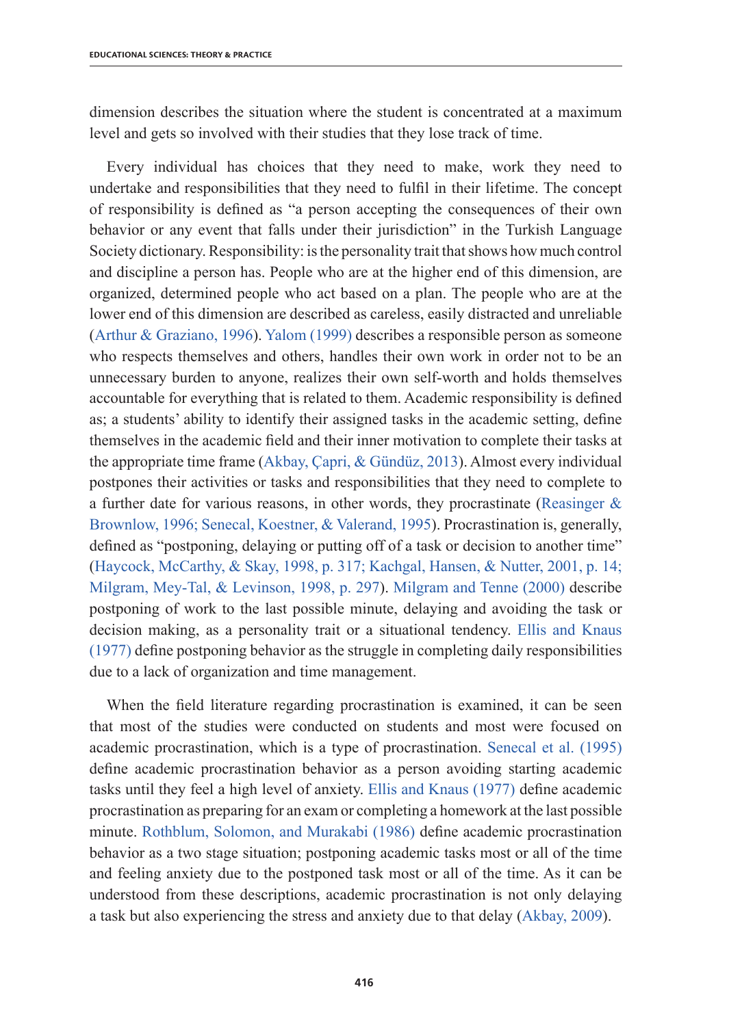dimension describes the situation where the student is concentrated at a maximum level and gets so involved with their studies that they lose track of time.

Every individual has choices that they need to make, work they need to undertake and responsibilities that they need to fulfil in their lifetime. The concept of responsibility is defined as "a person accepting the consequences of their own behavior or any event that falls under their jurisdiction" in the Turkish Language Society dictionary. Responsibility: is the personality trait that shows how much control and discipline a person has. People who are at the higher end of this dimension, are organized, determined people who act based on a plan. The people who are at the lower end of this dimension are described as careless, easily distracted and unreliable (Arthur & Graziano, 1996). Yalom (1999) describes a responsible person as someone who respects themselves and others, handles their own work in order not to be an unnecessary burden to anyone, realizes their own self-worth and holds themselves accountable for everything that is related to them. Academic responsibility is defined as; a students' ability to identify their assigned tasks in the academic setting, define themselves in the academic field and their inner motivation to complete their tasks at the appropriate time frame (Akbay, Çapri, & Gündüz, 2013). Almost every individual postpones their activities or tasks and responsibilities that they need to complete to a further date for various reasons, in other words, they procrastinate (Reasinger & Brownlow, 1996; Senecal, Koestner, & Valerand, 1995). Procrastination is, generally, defined as "postponing, delaying or putting off of a task or decision to another time" (Haycock, McCarthy, & Skay, 1998, p. 317; Kachgal, Hansen, & Nutter, 2001, p. 14; Milgram, Mey-Tal, & Levinson, 1998, p. 297). Milgram and Tenne (2000) describe postponing of work to the last possible minute, delaying and avoiding the task or decision making, as a personality trait or a situational tendency. Ellis and Knaus (1977) define postponing behavior as the struggle in completing daily responsibilities due to a lack of organization and time management.

When the field literature regarding procrastination is examined, it can be seen that most of the studies were conducted on students and most were focused on academic procrastination, which is a type of procrastination. Senecal et al. (1995) define academic procrastination behavior as a person avoiding starting academic tasks until they feel a high level of anxiety. Ellis and Knaus (1977) define academic procrastination as preparing for an exam or completing a homework at the last possible minute. Rothblum, Solomon, and Murakabi (1986) define academic procrastination behavior as a two stage situation; postponing academic tasks most or all of the time and feeling anxiety due to the postponed task most or all of the time. As it can be understood from these descriptions, academic procrastination is not only delaying a task but also experiencing the stress and anxiety due to that delay (Akbay, 2009).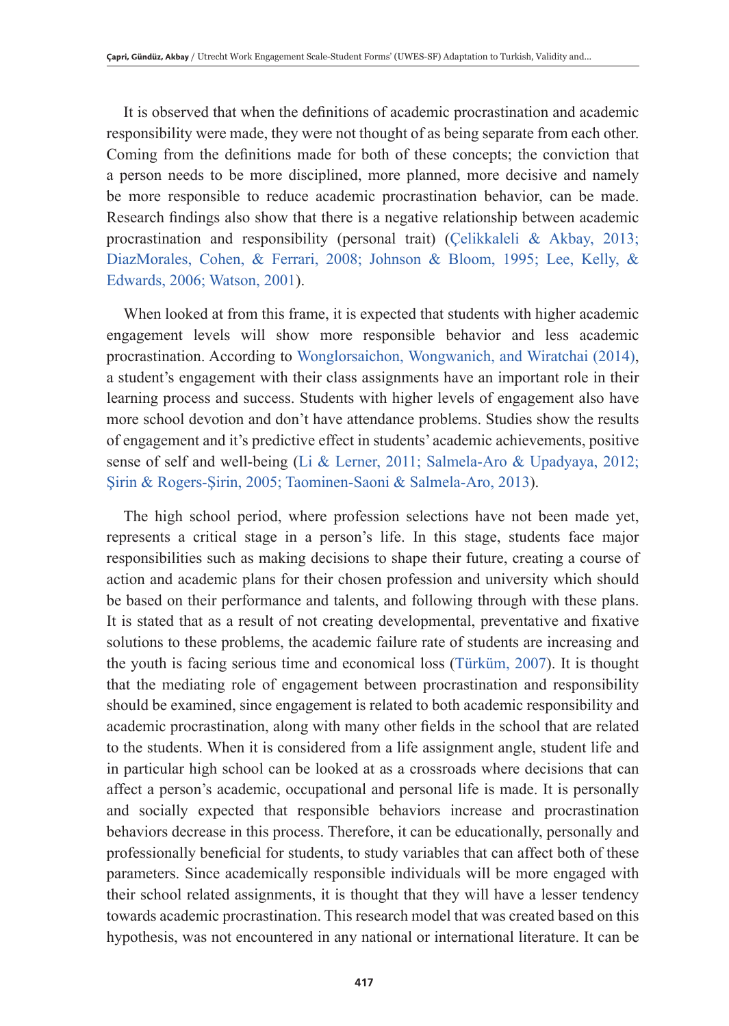It is observed that when the definitions of academic procrastination and academic responsibility were made, they were not thought of as being separate from each other. Coming from the definitions made for both of these concepts; the conviction that a person needs to be more disciplined, more planned, more decisive and namely be more responsible to reduce academic procrastination behavior, can be made. Research findings also show that there is a negative relationship between academic procrastination and responsibility (personal trait) (Çelikkaleli & Akbay, 2013; DiazMorales, Cohen, & Ferrari, 2008; Johnson & Bloom, 1995; Lee, Kelly, & Edwards, 2006; Watson, 2001).

When looked at from this frame, it is expected that students with higher academic engagement levels will show more responsible behavior and less academic procrastination. According to Wonglorsaichon, Wongwanich, and Wiratchai (2014), a student's engagement with their class assignments have an important role in their learning process and success. Students with higher levels of engagement also have more school devotion and don't have attendance problems. Studies show the results of engagement and it's predictive effect in students' academic achievements, positive sense of self and well-being (Li & Lerner, 2011; Salmela-Aro & Upadyaya, 2012; Şirin & Rogers-Şirin, 2005; Taominen-Saoni & Salmela-Aro, 2013).

The high school period, where profession selections have not been made yet, represents a critical stage in a person's life. In this stage, students face major responsibilities such as making decisions to shape their future, creating a course of action and academic plans for their chosen profession and university which should be based on their performance and talents, and following through with these plans. It is stated that as a result of not creating developmental, preventative and fixative solutions to these problems, the academic failure rate of students are increasing and the youth is facing serious time and economical loss (Türküm, 2007). It is thought that the mediating role of engagement between procrastination and responsibility should be examined, since engagement is related to both academic responsibility and academic procrastination, along with many other fields in the school that are related to the students. When it is considered from a life assignment angle, student life and in particular high school can be looked at as a crossroads where decisions that can affect a person's academic, occupational and personal life is made. It is personally and socially expected that responsible behaviors increase and procrastination behaviors decrease in this process. Therefore, it can be educationally, personally and professionally beneficial for students, to study variables that can affect both of these parameters. Since academically responsible individuals will be more engaged with their school related assignments, it is thought that they will have a lesser tendency towards academic procrastination. This research model that was created based on this hypothesis, was not encountered in any national or international literature. It can be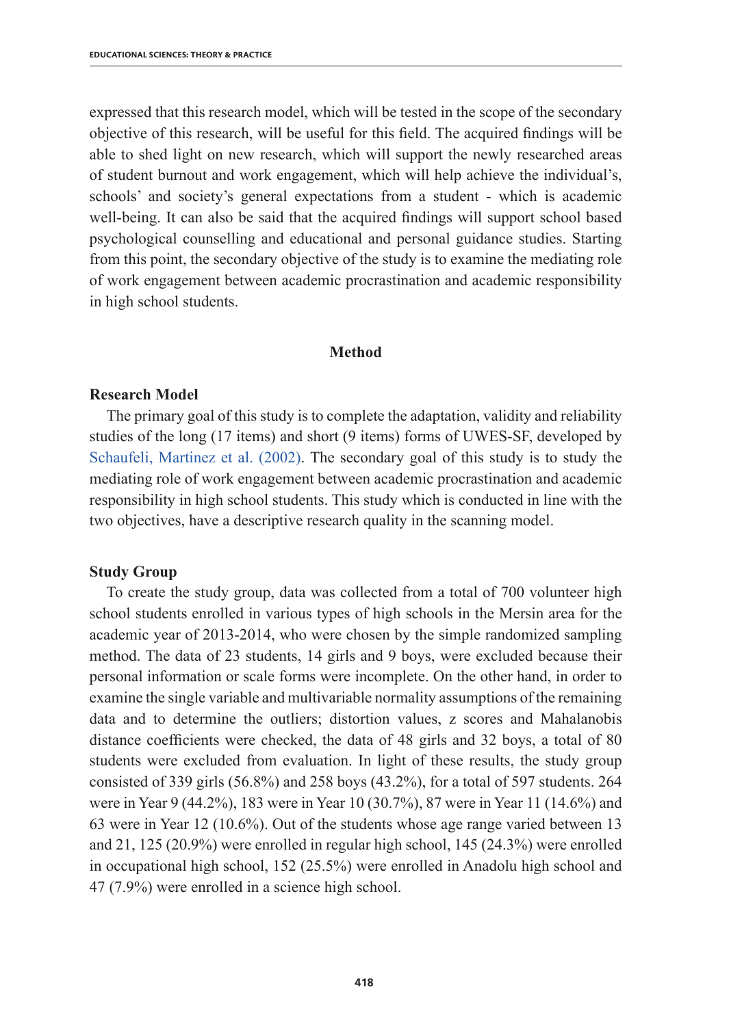expressed that this research model, which will be tested in the scope of the secondary objective of this research, will be useful for this field. The acquired findings will be able to shed light on new research, which will support the newly researched areas of student burnout and work engagement, which will help achieve the individual's, schools' and society's general expectations from a student - which is academic well-being. It can also be said that the acquired findings will support school based psychological counselling and educational and personal guidance studies. Starting from this point, the secondary objective of the study is to examine the mediating role of work engagement between academic procrastination and academic responsibility in high school students.

## **Method**

## **Research Model**

The primary goal of this study is to complete the adaptation, validity and reliability studies of the long (17 items) and short (9 items) forms of UWES-SF, developed by Schaufeli, Martinez et al. (2002). The secondary goal of this study is to study the mediating role of work engagement between academic procrastination and academic responsibility in high school students. This study which is conducted in line with the two objectives, have a descriptive research quality in the scanning model.

## **Study Group**

To create the study group, data was collected from a total of 700 volunteer high school students enrolled in various types of high schools in the Mersin area for the academic year of 2013-2014, who were chosen by the simple randomized sampling method. The data of 23 students, 14 girls and 9 boys, were excluded because their personal information or scale forms were incomplete. On the other hand, in order to examine the single variable and multivariable normality assumptions of the remaining data and to determine the outliers; distortion values, z scores and Mahalanobis distance coefficients were checked, the data of 48 girls and 32 boys, a total of 80 students were excluded from evaluation. In light of these results, the study group consisted of 339 girls (56.8%) and 258 boys (43.2%), for a total of 597 students. 264 were in Year 9 (44.2%), 183 were in Year 10 (30.7%), 87 were in Year 11 (14.6%) and 63 were in Year 12 (10.6%). Out of the students whose age range varied between 13 and 21, 125 (20.9%) were enrolled in regular high school, 145 (24.3%) were enrolled in occupational high school, 152 (25.5%) were enrolled in Anadolu high school and 47 (7.9%) were enrolled in a science high school.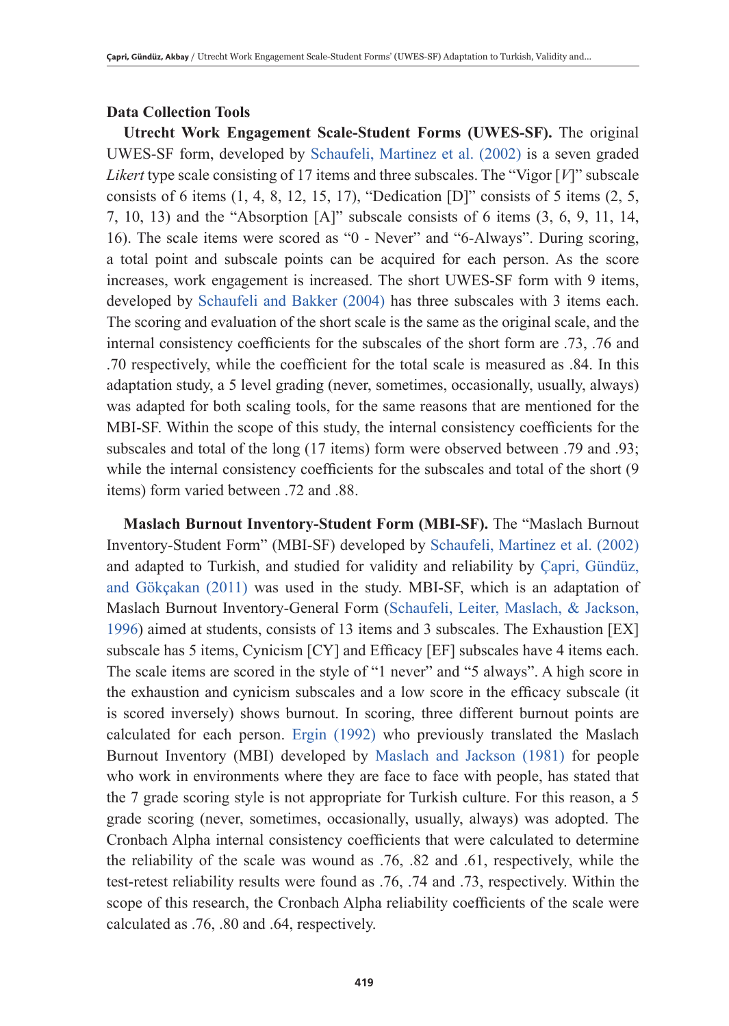## **Data Collection Tools**

**Utrecht Work Engagement Scale-Student Forms (UWES-SF).** The original UWES-SF form, developed by Schaufeli, Martinez et al. (2002) is a seven graded *Likert* type scale consisting of 17 items and three subscales. The "Vigor [*V*]" subscale consists of 6 items  $(1, 4, 8, 12, 15, 17)$ , "Dedication  $[D]$ " consists of 5 items  $(2, 5, 17, 17)$ 7, 10, 13) and the "Absorption [A]" subscale consists of 6 items (3, 6, 9, 11, 14, 16). The scale items were scored as "0 - Never" and "6-Always". During scoring, a total point and subscale points can be acquired for each person. As the score increases, work engagement is increased. The short UWES-SF form with 9 items, developed by Schaufeli and Bakker (2004) has three subscales with 3 items each. The scoring and evaluation of the short scale is the same as the original scale, and the internal consistency coefficients for the subscales of the short form are .73, .76 and .70 respectively, while the coefficient for the total scale is measured as .84. In this adaptation study, a 5 level grading (never, sometimes, occasionally, usually, always) was adapted for both scaling tools, for the same reasons that are mentioned for the MBI-SF. Within the scope of this study, the internal consistency coefficients for the subscales and total of the long (17 items) form were observed between .79 and .93; while the internal consistency coefficients for the subscales and total of the short (9) items) form varied between .72 and .88.

**Maslach Burnout Inventory-Student Form (MBI-SF).** The "Maslach Burnout Inventory-Student Form" (MBI-SF) developed by Schaufeli, Martinez et al. (2002) and adapted to Turkish, and studied for validity and reliability by Çapri, Gündüz, and Gökçakan (2011) was used in the study. MBI-SF, which is an adaptation of Maslach Burnout Inventory-General Form (Schaufeli, Leiter, Maslach, & Jackson, 1996) aimed at students, consists of 13 items and 3 subscales. The Exhaustion [EX] subscale has 5 items, Cynicism [CY] and Efficacy [EF] subscales have 4 items each. The scale items are scored in the style of "1 never" and "5 always". A high score in the exhaustion and cynicism subscales and a low score in the efficacy subscale (it is scored inversely) shows burnout. In scoring, three different burnout points are calculated for each person. Ergin (1992) who previously translated the Maslach Burnout Inventory (MBI) developed by Maslach and Jackson (1981) for people who work in environments where they are face to face with people, has stated that the 7 grade scoring style is not appropriate for Turkish culture. For this reason, a 5 grade scoring (never, sometimes, occasionally, usually, always) was adopted. The Cronbach Alpha internal consistency coefficients that were calculated to determine the reliability of the scale was wound as .76, .82 and .61, respectively, while the test-retest reliability results were found as .76, .74 and .73, respectively. Within the scope of this research, the Cronbach Alpha reliability coefficients of the scale were calculated as .76, .80 and .64, respectively.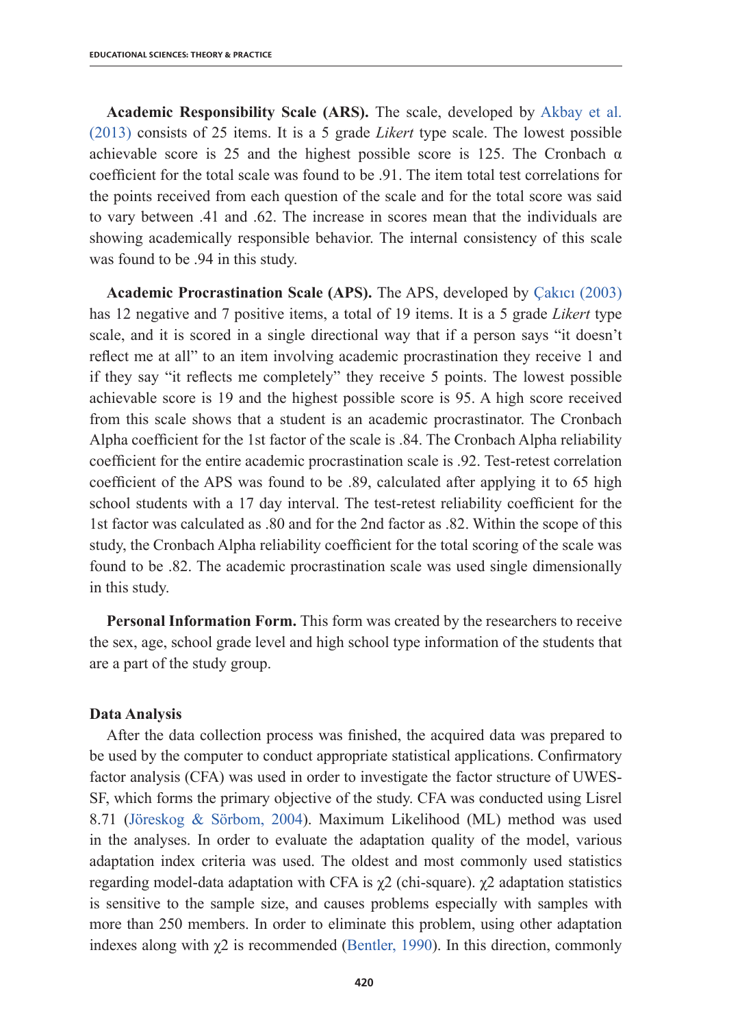**Academic Responsibility Scale (ARS).** The scale, developed by Akbay et al. (2013) consists of 25 items. It is a 5 grade *Likert* type scale. The lowest possible achievable score is 25 and the highest possible score is 125. The Cronbach  $\alpha$ coefficient for the total scale was found to be .91. The item total test correlations for the points received from each question of the scale and for the total score was said to vary between .41 and .62. The increase in scores mean that the individuals are showing academically responsible behavior. The internal consistency of this scale was found to be .94 in this study.

**Academic Procrastination Scale (APS).** The APS, developed by Çakıcı (2003) has 12 negative and 7 positive items, a total of 19 items. It is a 5 grade *Likert* type scale, and it is scored in a single directional way that if a person says "it doesn't reflect me at all" to an item involving academic procrastination they receive 1 and if they say "it reflects me completely" they receive 5 points. The lowest possible achievable score is 19 and the highest possible score is 95. A high score received from this scale shows that a student is an academic procrastinator. The Cronbach Alpha coefficient for the 1st factor of the scale is .84. The Cronbach Alpha reliability coefficient for the entire academic procrastination scale is .92. Test-retest correlation coefficient of the APS was found to be .89, calculated after applying it to 65 high school students with a 17 day interval. The test-retest reliability coefficient for the 1st factor was calculated as .80 and for the 2nd factor as .82. Within the scope of this study, the Cronbach Alpha reliability coefficient for the total scoring of the scale was found to be .82. The academic procrastination scale was used single dimensionally in this study.

**Personal Information Form.** This form was created by the researchers to receive the sex, age, school grade level and high school type information of the students that are a part of the study group.

## **Data Analysis**

After the data collection process was finished, the acquired data was prepared to be used by the computer to conduct appropriate statistical applications. Confirmatory factor analysis (CFA) was used in order to investigate the factor structure of UWES-SF, which forms the primary objective of the study. CFA was conducted using Lisrel 8.71 (Jöreskog & Sörbom, 2004). Maximum Likelihood (ML) method was used in the analyses. In order to evaluate the adaptation quality of the model, various adaptation index criteria was used. The oldest and most commonly used statistics regarding model-data adaptation with CFA is χ2 (chi-square). χ2 adaptation statistics is sensitive to the sample size, and causes problems especially with samples with more than 250 members. In order to eliminate this problem, using other adaptation indexes along with  $\chi$ 2 is recommended (Bentler, 1990). In this direction, commonly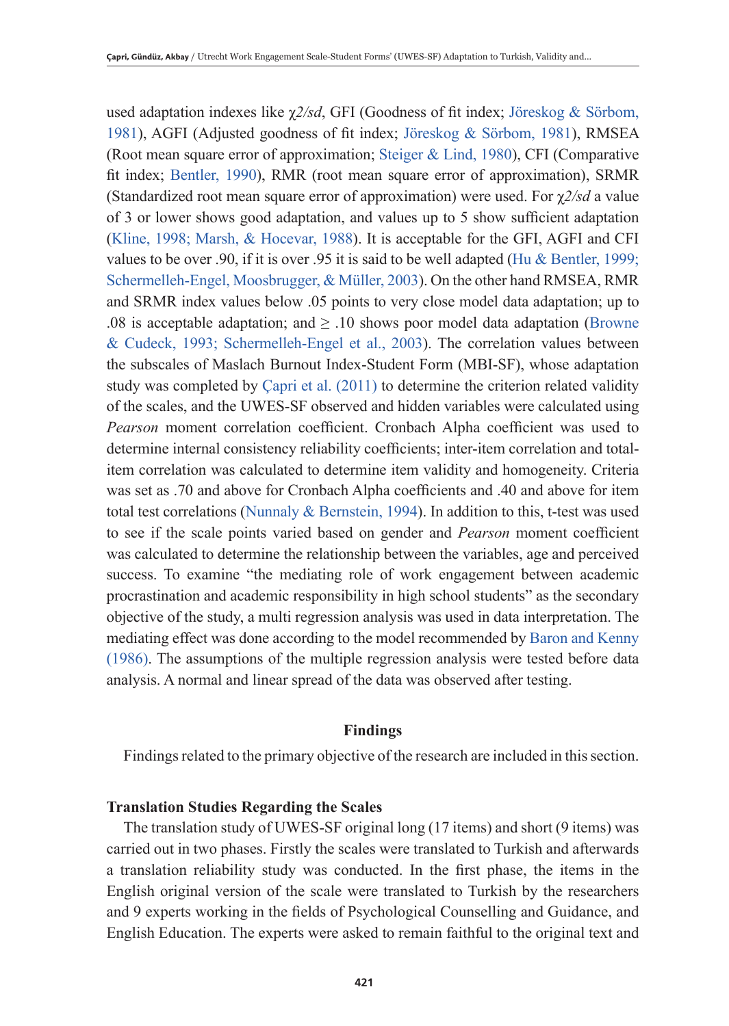used adaptation indexes like χ*2/sd*, GFI (Goodness of fit index; Jöreskog & Sörbom, 1981), AGFI (Adjusted goodness of fit index; Jöreskog & Sörbom, 1981), RMSEA (Root mean square error of approximation; Steiger & Lind, 1980), CFI (Comparative fit index; Bentler, 1990), RMR (root mean square error of approximation), SRMR (Standardized root mean square error of approximation) were used. For χ*2/sd* a value of 3 or lower shows good adaptation, and values up to 5 show sufficient adaptation (Kline, 1998; Marsh, & Hocevar, 1988). It is acceptable for the GFI, AGFI and CFI values to be over .90, if it is over .95 it is said to be well adapted (Hu & Bentler, 1999; Schermelleh-Engel, Moosbrugger, & Müller, 2003). On the other hand RMSEA, RMR and SRMR index values below .05 points to very close model data adaptation; up to .08 is acceptable adaptation; and  $\geq$  .10 shows poor model data adaptation (Browne & Cudeck, 1993; Schermelleh-Engel et al., 2003). The correlation values between the subscales of Maslach Burnout Index-Student Form (MBI-SF), whose adaptation study was completed by Çapri et al. (2011) to determine the criterion related validity of the scales, and the UWES-SF observed and hidden variables were calculated using *Pearson* moment correlation coefficient. Cronbach Alpha coefficient was used to determine internal consistency reliability coefficients; inter-item correlation and totalitem correlation was calculated to determine item validity and homogeneity. Criteria was set as .70 and above for Cronbach Alpha coefficients and .40 and above for item total test correlations (Nunnaly & Bernstein, 1994). In addition to this, t-test was used to see if the scale points varied based on gender and *Pearson* moment coefficient was calculated to determine the relationship between the variables, age and perceived success. To examine "the mediating role of work engagement between academic procrastination and academic responsibility in high school students" as the secondary objective of the study, a multi regression analysis was used in data interpretation. The mediating effect was done according to the model recommended by Baron and Kenny (1986). The assumptions of the multiple regression analysis were tested before data analysis. A normal and linear spread of the data was observed after testing.

## **Findings**

Findings related to the primary objective of the research are included in this section.

## **Translation Studies Regarding the Scales**

The translation study of UWES-SF original long (17 items) and short (9 items) was carried out in two phases. Firstly the scales were translated to Turkish and afterwards a translation reliability study was conducted. In the first phase, the items in the English original version of the scale were translated to Turkish by the researchers and 9 experts working in the fields of Psychological Counselling and Guidance, and English Education. The experts were asked to remain faithful to the original text and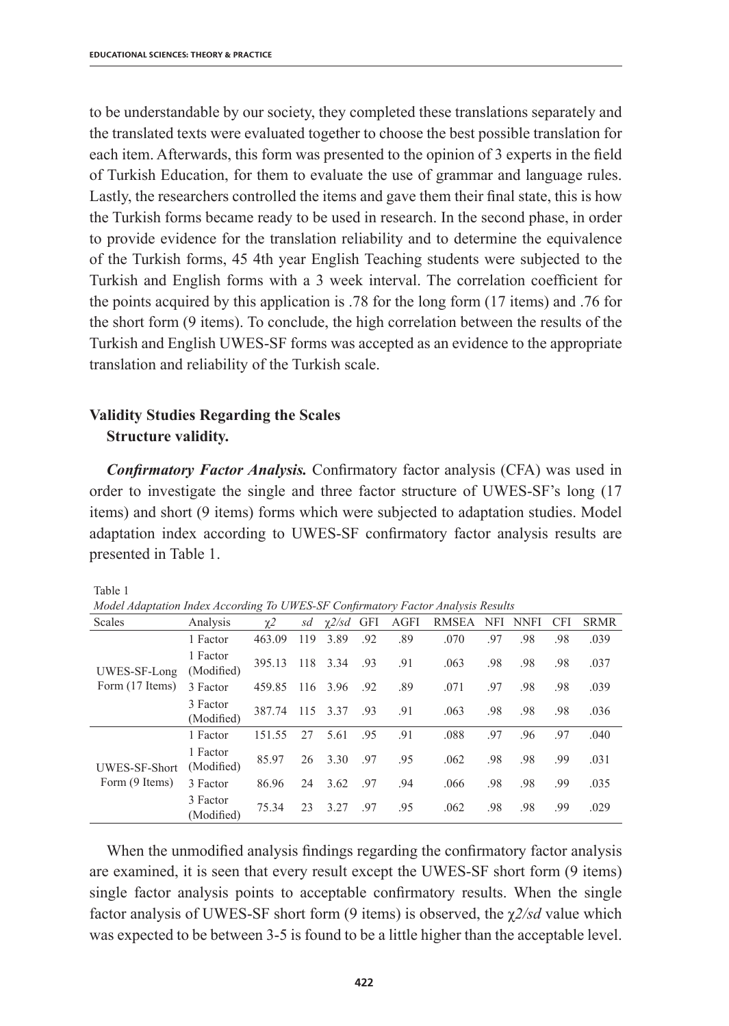to be understandable by our society, they completed these translations separately and the translated texts were evaluated together to choose the best possible translation for each item. Afterwards, this form was presented to the opinion of 3 experts in the field of Turkish Education, for them to evaluate the use of grammar and language rules. Lastly, the researchers controlled the items and gave them their final state, this is how the Turkish forms became ready to be used in research. In the second phase, in order to provide evidence for the translation reliability and to determine the equivalence of the Turkish forms, 45 4th year English Teaching students were subjected to the Turkish and English forms with a 3 week interval. The correlation coefficient for the points acquired by this application is .78 for the long form (17 items) and .76 for the short form (9 items). To conclude, the high correlation between the results of the Turkish and English UWES-SF forms was accepted as an evidence to the appropriate translation and reliability of the Turkish scale.

# **Validity Studies Regarding the Scales Structure validity.**

*Confirmatory Factor Analysis.* Confirmatory factor analysis (CFA) was used in order to investigate the single and three factor structure of UWES-SF's long (17 items) and short (9 items) forms which were subjected to adaptation studies. Model adaptation index according to UWES-SF confirmatory factor analysis results are presented in Table 1.

Table 1

*Model Adaptation Index According To UWES-SF Confirmatory Factor Analysis Results* 

| Scales                                 | Analysis               | $\gamma$ 2 | sd  | $\gamma$ 2/sd | GFI | AGFI | <b>RMSEA</b> | NFI | <b>NNFI</b> | <b>CFI</b> | <b>SRMR</b> |
|----------------------------------------|------------------------|------------|-----|---------------|-----|------|--------------|-----|-------------|------------|-------------|
| UWES-SF-Long<br>Form (17 Items)        | 1 Factor               | 463.09     | 119 | 3.89          | .92 | .89  | .070         | .97 | .98         | .98        | .039        |
|                                        | 1 Factor<br>(Modified) | 395.13     | 118 | 3.34          | .93 | .91  | .063         | .98 | .98         | .98        | .037        |
|                                        | 3 Factor               | 459.85     | 116 | 3.96          | .92 | .89  | .071         | .97 | .98         | .98        | .039        |
|                                        | 3 Factor<br>(Modified) | 387.74     |     | 115 3.37      | .93 | .91  | .063         | .98 | .98         | .98        | .036        |
| <b>UWES-SF-Short</b><br>Form (9 Items) | 1 Factor               | 151.55     | 27  | 5.61          | .95 | .91  | .088         | .97 | .96         | .97        | .040        |
|                                        | 1 Factor<br>(Modified) | 85.97      | 26  | 3.30          | .97 | .95  | .062         | .98 | .98         | .99        | .031        |
|                                        | 3 Factor               | 86.96      | 24  | 3.62          | .97 | .94  | .066         | .98 | .98         | .99        | .035        |
|                                        | 3 Factor<br>(Modified) | 75.34      | 23  | 3.27          | .97 | .95  | .062         | .98 | .98         | .99        | .029        |

When the unmodified analysis findings regarding the confirmatory factor analysis are examined, it is seen that every result except the UWES-SF short form (9 items) single factor analysis points to acceptable confirmatory results. When the single factor analysis of UWES-SF short form (9 items) is observed, the χ*2/sd* value which was expected to be between 3-5 is found to be a little higher than the acceptable level.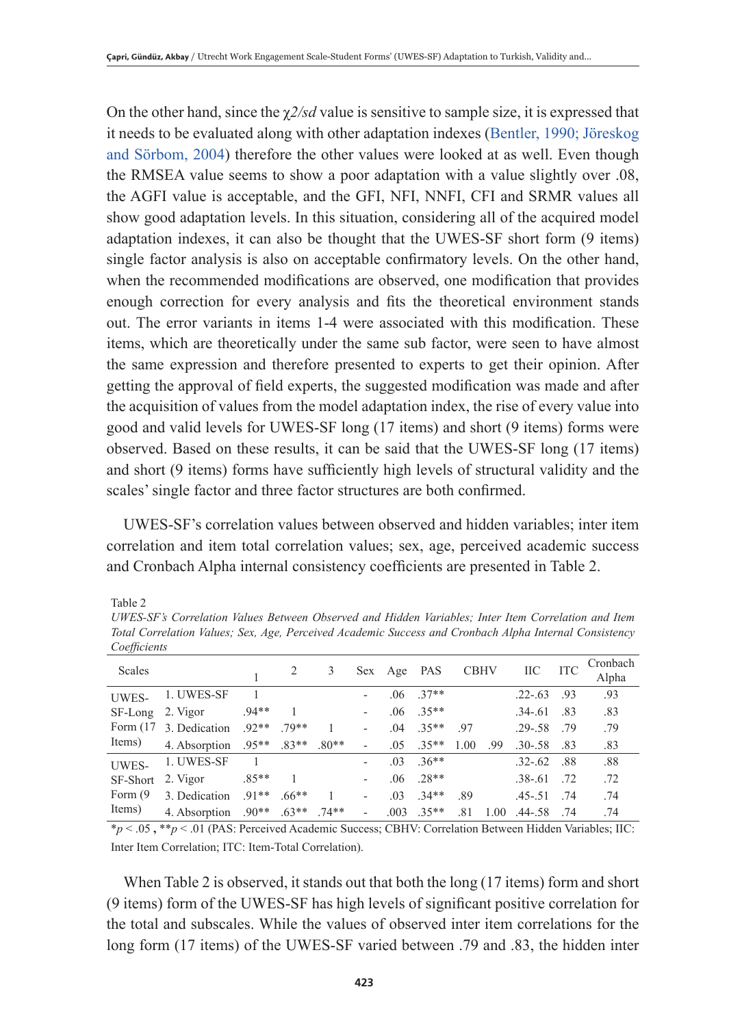On the other hand, since the  $\chi$ 2/sd value is sensitive to sample size, it is expressed that it needs to be evaluated along with other adaptation indexes (Bentler, 1990; Jöreskog and Sörbom, 2004) therefore the other values were looked at as well. Even though the RMSEA value seems to show a poor adaptation with a value slightly over .08, the AGFI value is acceptable, and the GFI, NFI, NNFI, CFI and SRMR values all show good adaptation levels. In this situation, considering all of the acquired model adaptation indexes, it can also be thought that the UWES-SF short form (9 items) single factor analysis is also on acceptable confirmatory levels. On the other hand, when the recommended modifications are observed, one modification that provides enough correction for every analysis and fits the theoretical environment stands out. The error variants in items 1-4 were associated with this modification. These items, which are theoretically under the same sub factor, were seen to have almost the same expression and therefore presented to experts to get their opinion. After getting the approval of field experts, the suggested modification was made and after the acquisition of values from the model adaptation index, the rise of every value into good and valid levels for UWES-SF long (17 items) and short (9 items) forms were observed. Based on these results, it can be said that the UWES-SF long (17 items) and short (9 items) forms have sufficiently high levels of structural validity and the scales' single factor and three factor structures are both confirmed.

UWES-SF's correlation values between observed and hidden variables; inter item correlation and item total correlation values; sex, age, perceived academic success and Cronbach Alpha internal consistency coefficients are presented in Table 2.

Table 2

*UWES-SF's Correlation Values Between Observed and Hidden Variables; Inter Item Correlation and Item Total Correlation Values; Sex, Age, Perceived Academic Success and Cronbach Alpha Internal Consistency Coefficients* 

| Scales      |                       |                |         | 3       | Sex | Age            | PAS     | <b>CBHV</b> |      | <b>IIC</b>  | <b>ITC</b> | Cronbach<br>Alpha |
|-------------|-----------------------|----------------|---------|---------|-----|----------------|---------|-------------|------|-------------|------------|-------------------|
| UWES-       | 1. UWES-SF            |                |         |         |     | .06            | $37**$  |             |      | $.22 - .63$ | .93        | .93               |
| SF-Long     | 2. Vigor              | $94**$         |         |         |     | .06            | $35**$  |             |      | $.34 - .61$ | .83        | .83               |
| Form $(17)$ | 3. Dedication         | $92**$         | 79**    |         |     | .04            | $35**$  | -97         |      | $.29 - .58$ | - 79       | .79               |
| Items)      | 4. Absorption         | $.95**$        | $.83**$ | $.80**$ | ۰   | .05            | $.35**$ | 1.00        | .99  | $.30 - .58$ | .83        | .83               |
| UWES-       | 1. UWES-SF            | $\overline{1}$ |         |         |     | 0 <sup>3</sup> | $36**$  |             |      | $.32 - .62$ | .88        | .88               |
| SF-Short    | 2. Vigor              | $.85**$        |         |         | -   | .06            | $.28**$ |             |      | $.38 - .61$ | .72        | .72               |
| Form (9)    | 3. Dedication         | $91**$         | $.66**$ |         | ٠   | .03            | $34**$  | -89         |      | $.45 - .51$ | .74        | .74               |
| Items)      | 4. Absorption $.90**$ |                | $.63**$ | $74**$  | ۰   | .003           | $.35**$ | .81         | 1.00 | $.44 - .58$ | .74        | .74               |

\**p* < .05 **,** \*\**p* < .01 (PAS: Perceived Academic Success; CBHV: Correlation Between Hidden Variables; IIC: Inter Item Correlation; ITC: Item-Total Correlation).

When Table 2 is observed, it stands out that both the long (17 items) form and short (9 items) form of the UWES-SF has high levels of significant positive correlation for the total and subscales. While the values of observed inter item correlations for the long form (17 items) of the UWES-SF varied between .79 and .83, the hidden inter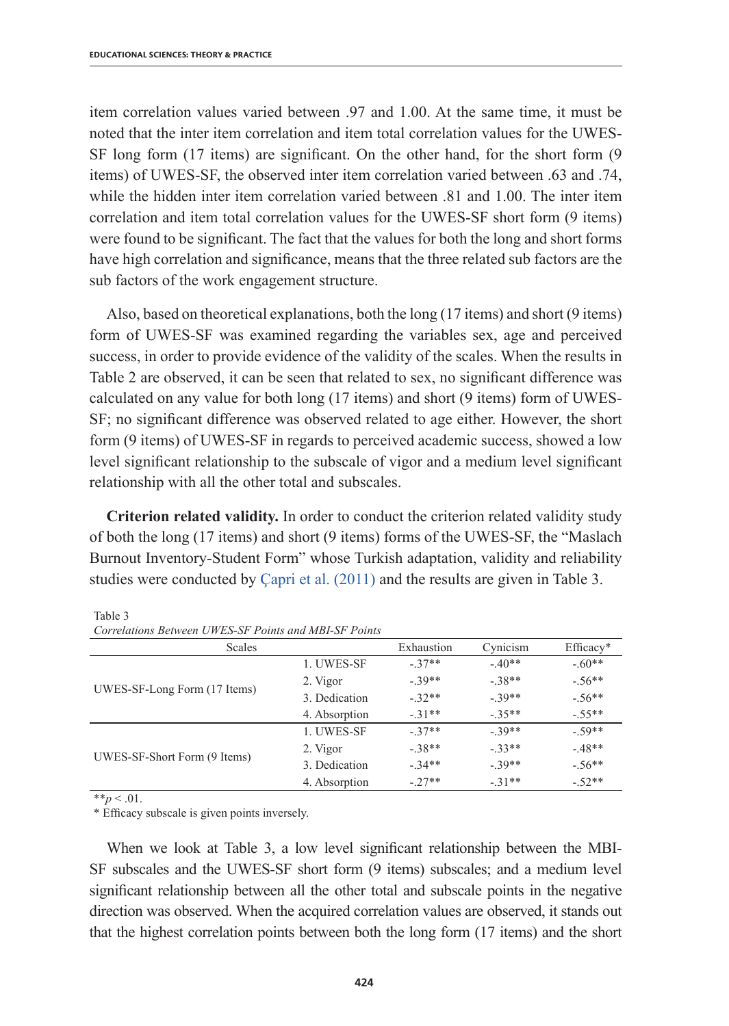item correlation values varied between .97 and 1.00. At the same time, it must be noted that the inter item correlation and item total correlation values for the UWES-SF long form (17 items) are significant. On the other hand, for the short form (9 items) of UWES-SF, the observed inter item correlation varied between .63 and .74, while the hidden inter item correlation varied between .81 and 1.00. The inter item correlation and item total correlation values for the UWES-SF short form (9 items) were found to be significant. The fact that the values for both the long and short forms have high correlation and significance, means that the three related sub factors are the sub factors of the work engagement structure.

Also, based on theoretical explanations, both the long (17 items) and short (9 items) form of UWES-SF was examined regarding the variables sex, age and perceived success, in order to provide evidence of the validity of the scales. When the results in Table 2 are observed, it can be seen that related to sex, no significant difference was calculated on any value for both long (17 items) and short (9 items) form of UWES-SF; no significant difference was observed related to age either. However, the short form (9 items) of UWES-SF in regards to perceived academic success, showed a low level significant relationship to the subscale of vigor and a medium level significant relationship with all the other total and subscales.

**Criterion related validity.** In order to conduct the criterion related validity study of both the long (17 items) and short (9 items) forms of the UWES-SF, the "Maslach Burnout Inventory-Student Form" whose Turkish adaptation, validity and reliability studies were conducted by Çapri et al. (2011) and the results are given in Table 3.

| <b>Scales</b>                |               | Exhaustion | Cynicism | $Efficacy*$ |
|------------------------------|---------------|------------|----------|-------------|
|                              | 1. UWES-SF    | $-37**$    | $-40**$  | $-60**$     |
|                              | 2. Vigor      | $-39**$    | $-38**$  | $-56**$     |
| UWES-SF-Long Form (17 Items) | 3. Dedication | $-32**$    | $-39**$  | $-56**$     |
|                              | 4. Absorption | $-31**$    | $-35**$  | $-.55**$    |
|                              | 1. UWES-SF    | $-37**$    | $-39**$  | $-59**$     |
|                              | 2. Vigor      | $-38**$    | $-33**$  | $-48**$     |
| UWES-SF-Short Form (9 Items) | 3. Dedication | $-34**$    | $-39**$  | $-56**$     |
|                              | 4. Absorption | $-27**$    | $-31**$  | $-52**$     |

Table 3 *Correlations Between UWES-SF Points and MBI-SF Points* 

 $**p < .01$ .

\* Efficacy subscale is given points inversely.

When we look at Table 3, a low level significant relationship between the MBI-SF subscales and the UWES-SF short form (9 items) subscales; and a medium level significant relationship between all the other total and subscale points in the negative direction was observed. When the acquired correlation values are observed, it stands out that the highest correlation points between both the long form (17 items) and the short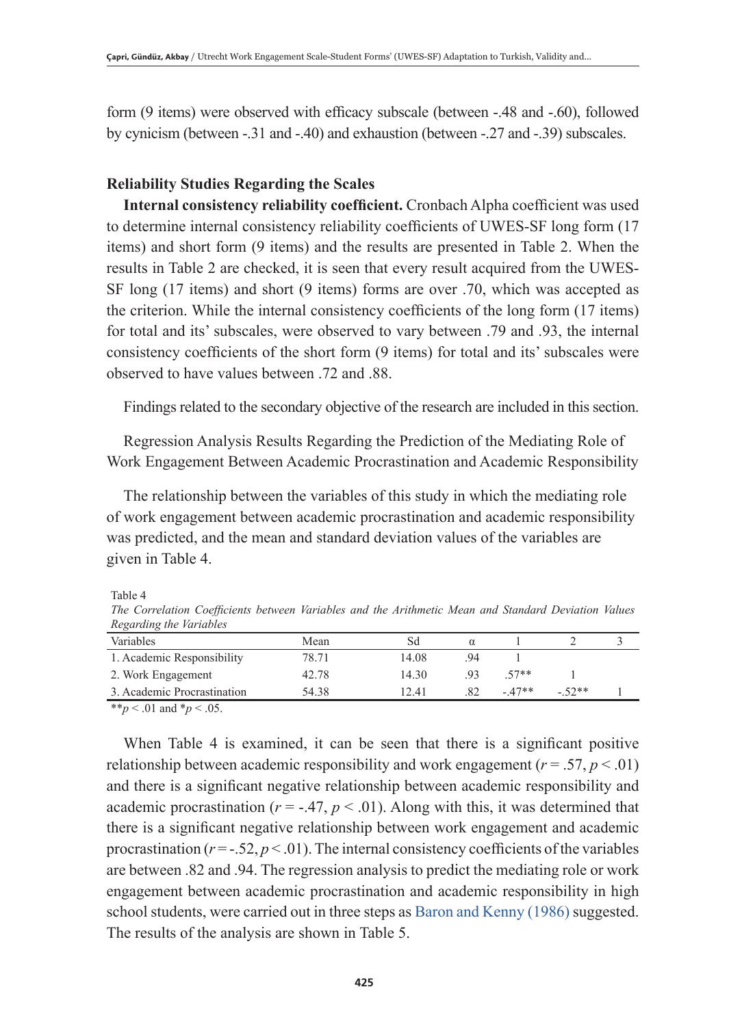form (9 items) were observed with efficacy subscale (between -.48 and -.60), followed by cynicism (between -.31 and -.40) and exhaustion (between -.27 and -.39) subscales.

## **Reliability Studies Regarding the Scales**

**Internal consistency reliability coefficient.** Cronbach Alpha coefficient was used to determine internal consistency reliability coefficients of UWES-SF long form (17 items) and short form (9 items) and the results are presented in Table 2. When the results in Table 2 are checked, it is seen that every result acquired from the UWES-SF long (17 items) and short (9 items) forms are over .70, which was accepted as the criterion. While the internal consistency coefficients of the long form (17 items) for total and its' subscales, were observed to vary between .79 and .93, the internal consistency coefficients of the short form (9 items) for total and its' subscales were observed to have values between .72 and .88.

Findings related to the secondary objective of the research are included in this section.

Regression Analysis Results Regarding the Prediction of the Mediating Role of Work Engagement Between Academic Procrastination and Academic Responsibility

The relationship between the variables of this study in which the mediating role of work engagement between academic procrastination and academic responsibility was predicted, and the mean and standard deviation values of the variables are given in Table 4.

Table 4

*The Correlation Coefficients between Variables and the Arithmetic Mean and Standard Deviation Values Regarding the Variables*

| .                           |       |       |    |         |         |  |
|-----------------------------|-------|-------|----|---------|---------|--|
| Variables                   | Mean  | Sđ    |    |         |         |  |
| 1. Academic Responsibility  | 78.71 | 14.08 | 94 |         |         |  |
| 2. Work Engagement          | 42.78 | 14 30 | 93 | $57**$  |         |  |
| 3. Academic Procrastination | 54.38 | 12.41 | 82 | $-47**$ | $-52**$ |  |
|                             |       |       |    |         |         |  |

\*\**p* < .01 and \**p* < .05.

When Table 4 is examined, it can be seen that there is a significant positive relationship between academic responsibility and work engagement  $(r = .57, p < .01)$ and there is a significant negative relationship between academic responsibility and academic procrastination ( $r = -0.47$ ,  $p < 0.01$ ). Along with this, it was determined that there is a significant negative relationship between work engagement and academic procrastination ( $r = -0.52$ ,  $p < 0.01$ ). The internal consistency coefficients of the variables are between .82 and .94. The regression analysis to predict the mediating role or work engagement between academic procrastination and academic responsibility in high school students, were carried out in three steps as Baron and Kenny (1986) suggested. The results of the analysis are shown in Table 5.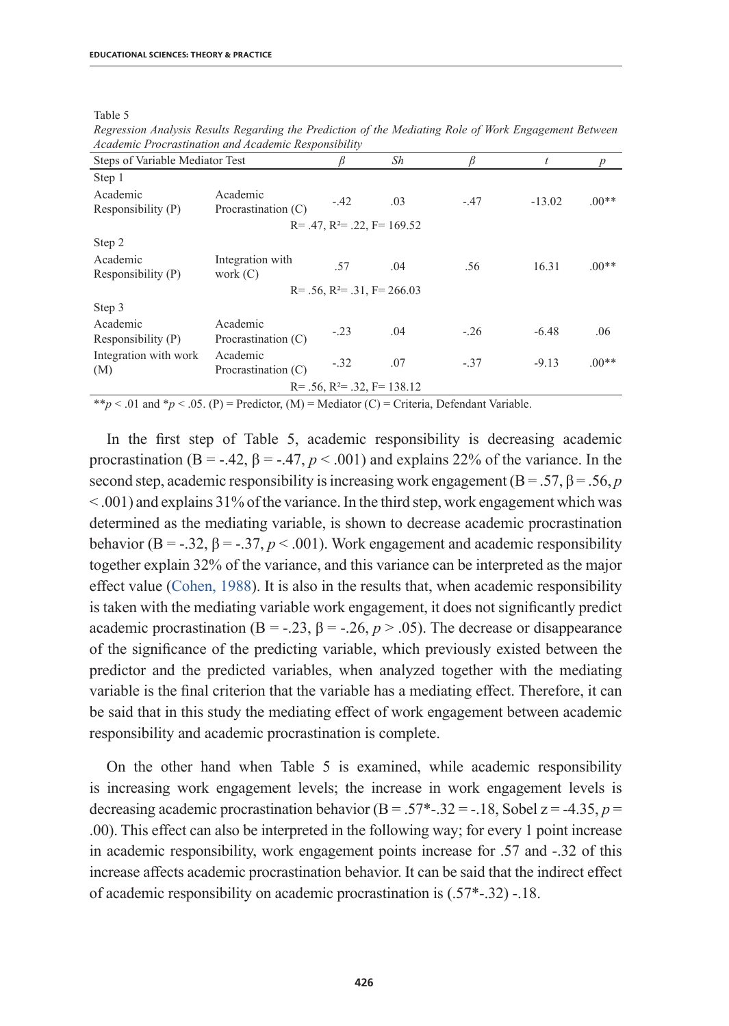Table 5

|                                 | x                               |        |                                        |        |          |                |
|---------------------------------|---------------------------------|--------|----------------------------------------|--------|----------|----------------|
| Steps of Variable Mediator Test |                                 |        | Sh                                     | R      | t        | $\overline{p}$ |
| Step 1                          |                                 |        |                                        |        |          |                |
| Academic<br>Responsibility (P)  | Academic<br>Procrastination (C) | $-.42$ | .03                                    | $-.47$ | $-13.02$ | $.00**$        |
|                                 |                                 |        | $R = .47$ , $R^2 = .22$ , $F = 169.52$ |        |          |                |
| Step 2                          |                                 |        |                                        |        |          |                |
| Academic<br>Responsibility (P)  | Integration with<br>work $(C)$  | .57    | .04                                    | .56    | 16.31    | $.00**$        |
|                                 |                                 |        | $R = .56$ , $R^2 = .31$ , $F = 266.03$ |        |          |                |
| Step 3                          |                                 |        |                                        |        |          |                |
| Academic<br>Responsibility (P)  | Academic<br>Procrastination (C) | $-.23$ | .04                                    | $-.26$ | $-6.48$  | .06            |
| Integration with work<br>(M)    | Academic<br>Procrastination (C) | $-.32$ | .07                                    | $-.37$ | $-9.13$  | $.00**$        |
|                                 |                                 |        | $R = .56$ , $R^2 = .32$ , $F = 138.12$ |        |          |                |

*Regression Analysis Results Regarding the Prediction of the Mediating Role of Work Engagement Between Academic Procrastination and Academic Responsibility* 

\*\**p* < .01 and \**p* < .05. (P) = Predictor, (M) = Mediator (C) = Criteria, Defendant Variable.

In the first step of Table 5, academic responsibility is decreasing academic procrastination (B = -.42,  $\beta$  = -.47,  $p < .001$ ) and explains 22% of the variance. In the second step, academic responsibility is increasing work engagement  $(B = .57, \beta = .56, p$ < .001) and explains 31% of the variance. In the third step, work engagement which was determined as the mediating variable, is shown to decrease academic procrastination behavior ( $B = -0.32$ ,  $\beta = -0.37$ ,  $p < 0.001$ ). Work engagement and academic responsibility together explain 32% of the variance, and this variance can be interpreted as the major effect value (Cohen, 1988). It is also in the results that, when academic responsibility is taken with the mediating variable work engagement, it does not significantly predict academic procrastination (B = -.23,  $\beta$  = -.26,  $p > .05$ ). The decrease or disappearance of the significance of the predicting variable, which previously existed between the predictor and the predicted variables, when analyzed together with the mediating variable is the final criterion that the variable has a mediating effect. Therefore, it can be said that in this study the mediating effect of work engagement between academic responsibility and academic procrastination is complete.

On the other hand when Table 5 is examined, while academic responsibility is increasing work engagement levels; the increase in work engagement levels is decreasing academic procrastination behavior (B = .57<sup>\*</sup>-.32 = -.18, Sobel z = -4.35,  $p =$ .00). This effect can also be interpreted in the following way; for every 1 point increase in academic responsibility, work engagement points increase for .57 and -.32 of this increase affects academic procrastination behavior. It can be said that the indirect effect of academic responsibility on academic procrastination is (.57\*-.32) -.18.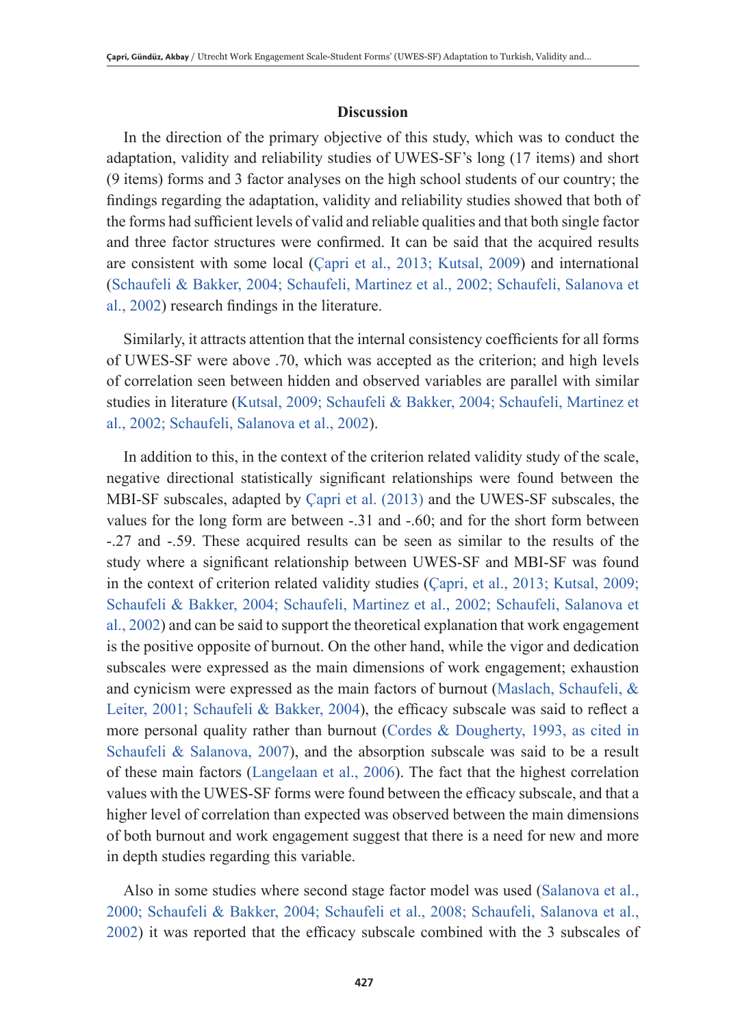### **Discussion**

In the direction of the primary objective of this study, which was to conduct the adaptation, validity and reliability studies of UWES-SF's long (17 items) and short (9 items) forms and 3 factor analyses on the high school students of our country; the findings regarding the adaptation, validity and reliability studies showed that both of the forms had sufficient levels of valid and reliable qualities and that both single factor and three factor structures were confirmed. It can be said that the acquired results are consistent with some local (Çapri et al., 2013; Kutsal, 2009) and international (Schaufeli & Bakker, 2004; Schaufeli, Martinez et al., 2002; Schaufeli, Salanova et al., 2002) research findings in the literature.

Similarly, it attracts attention that the internal consistency coefficients for all forms of UWES-SF were above .70, which was accepted as the criterion; and high levels of correlation seen between hidden and observed variables are parallel with similar studies in literature (Kutsal, 2009; Schaufeli & Bakker, 2004; Schaufeli, Martinez et al., 2002; Schaufeli, Salanova et al., 2002).

In addition to this, in the context of the criterion related validity study of the scale, negative directional statistically significant relationships were found between the MBI-SF subscales, adapted by Çapri et al. (2013) and the UWES-SF subscales, the values for the long form are between -.31 and -.60; and for the short form between -.27 and -.59. These acquired results can be seen as similar to the results of the study where a significant relationship between UWES-SF and MBI-SF was found in the context of criterion related validity studies (Çapri, et al., 2013; Kutsal, 2009; Schaufeli & Bakker, 2004; Schaufeli, Martinez et al., 2002; Schaufeli, Salanova et al., 2002) and can be said to support the theoretical explanation that work engagement is the positive opposite of burnout. On the other hand, while the vigor and dedication subscales were expressed as the main dimensions of work engagement; exhaustion and cynicism were expressed as the main factors of burnout (Maslach, Schaufeli, & Leiter, 2001; Schaufeli & Bakker, 2004), the efficacy subscale was said to reflect a more personal quality rather than burnout (Cordes & Dougherty, 1993, as cited in Schaufeli & Salanova, 2007), and the absorption subscale was said to be a result of these main factors (Langelaan et al., 2006). The fact that the highest correlation values with the UWES-SF forms were found between the efficacy subscale, and that a higher level of correlation than expected was observed between the main dimensions of both burnout and work engagement suggest that there is a need for new and more in depth studies regarding this variable.

Also in some studies where second stage factor model was used (Salanova et al., 2000; Schaufeli & Bakker, 2004; Schaufeli et al., 2008; Schaufeli, Salanova et al., 2002) it was reported that the efficacy subscale combined with the 3 subscales of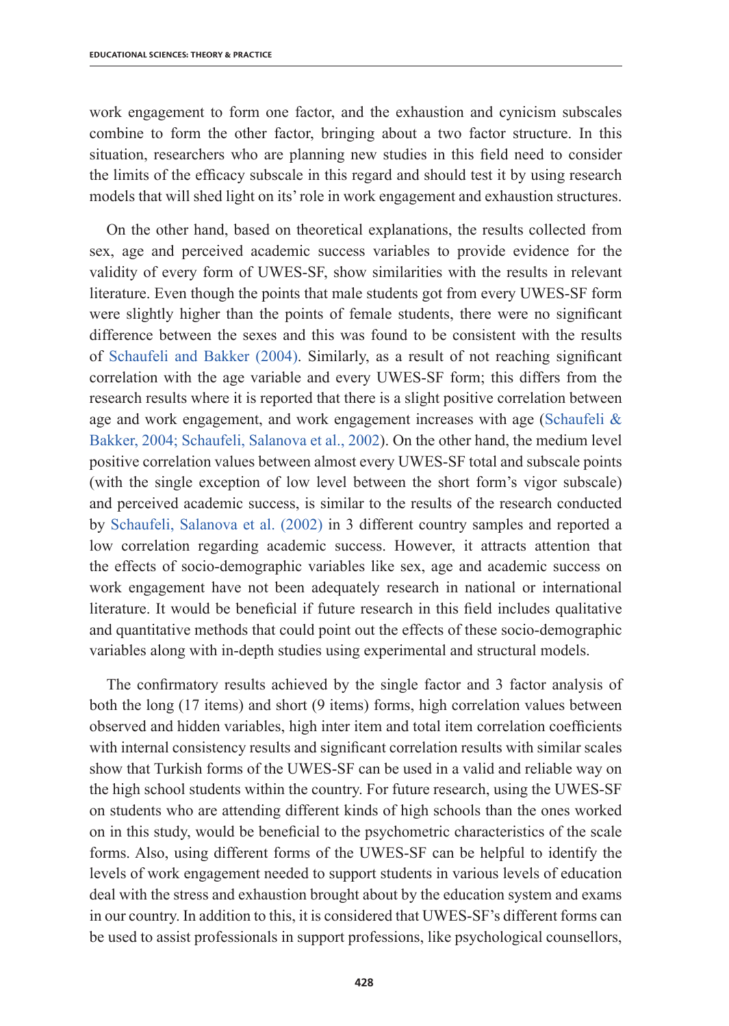work engagement to form one factor, and the exhaustion and cynicism subscales combine to form the other factor, bringing about a two factor structure. In this situation, researchers who are planning new studies in this field need to consider the limits of the efficacy subscale in this regard and should test it by using research models that will shed light on its' role in work engagement and exhaustion structures.

On the other hand, based on theoretical explanations, the results collected from sex, age and perceived academic success variables to provide evidence for the validity of every form of UWES-SF, show similarities with the results in relevant literature. Even though the points that male students got from every UWES-SF form were slightly higher than the points of female students, there were no significant difference between the sexes and this was found to be consistent with the results of Schaufeli and Bakker (2004). Similarly, as a result of not reaching significant correlation with the age variable and every UWES-SF form; this differs from the research results where it is reported that there is a slight positive correlation between age and work engagement, and work engagement increases with age (Schaufeli & Bakker, 2004; Schaufeli, Salanova et al., 2002). On the other hand, the medium level positive correlation values between almost every UWES-SF total and subscale points (with the single exception of low level between the short form's vigor subscale) and perceived academic success, is similar to the results of the research conducted by Schaufeli, Salanova et al. (2002) in 3 different country samples and reported a low correlation regarding academic success. However, it attracts attention that the effects of socio-demographic variables like sex, age and academic success on work engagement have not been adequately research in national or international literature. It would be beneficial if future research in this field includes qualitative and quantitative methods that could point out the effects of these socio-demographic variables along with in-depth studies using experimental and structural models.

The confirmatory results achieved by the single factor and 3 factor analysis of both the long (17 items) and short (9 items) forms, high correlation values between observed and hidden variables, high inter item and total item correlation coefficients with internal consistency results and significant correlation results with similar scales show that Turkish forms of the UWES-SF can be used in a valid and reliable way on the high school students within the country. For future research, using the UWES-SF on students who are attending different kinds of high schools than the ones worked on in this study, would be beneficial to the psychometric characteristics of the scale forms. Also, using different forms of the UWES-SF can be helpful to identify the levels of work engagement needed to support students in various levels of education deal with the stress and exhaustion brought about by the education system and exams in our country. In addition to this, it is considered that UWES-SF's different forms can be used to assist professionals in support professions, like psychological counsellors,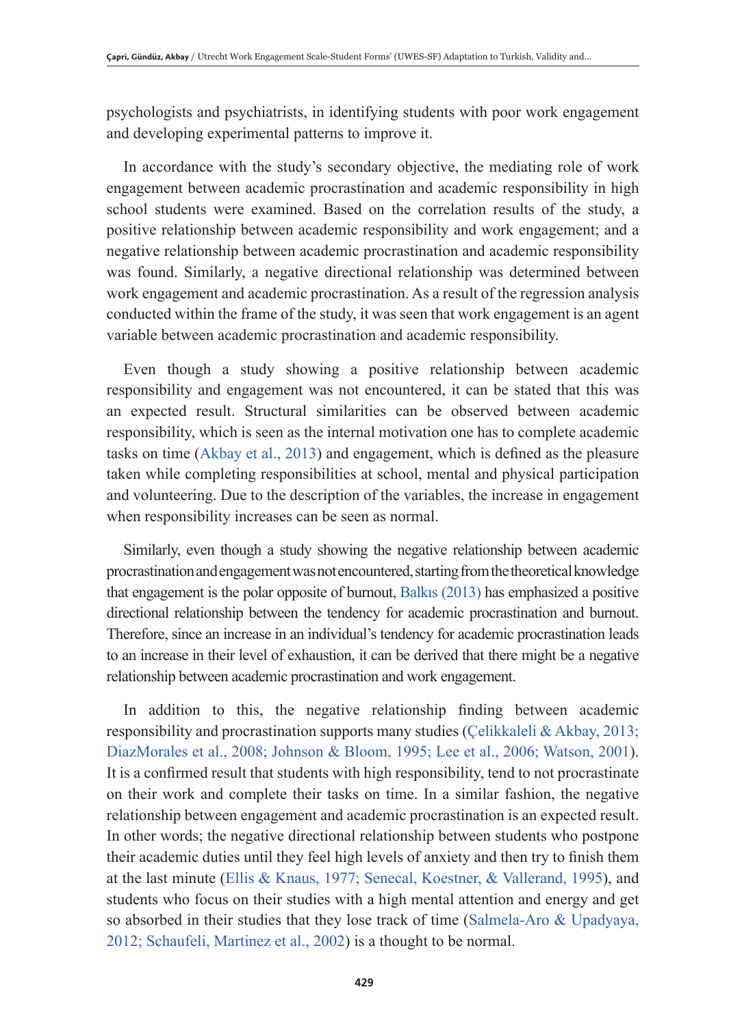psychologists and psychiatrists, in identifying students with poor work engagement and developing experimental patterns to improve it.

In accordance with the study's secondary objective, the mediating role of work engagement between academic procrastination and academic responsibility in high school students were examined. Based on the correlation results of the study, a positive relationship between academic responsibility and work engagement; and a negative relationship between academic procrastination and academic responsibility was found. Similarly, a negative directional relationship was determined between work engagement and academic procrastination. As a result of the regression analysis conducted within the frame of the study, it was seen that work engagement is an agent variable between academic procrastination and academic responsibility.

Even though a study showing a positive relationship between academic responsibility and engagement was not encountered, it can be stated that this was an expected result. Structural similarities can be observed between academic responsibility, which is seen as the internal motivation one has to complete academic tasks on time (Akbay et al., 2013) and engagement, which is defined as the pleasure taken while completing responsibilities at school, mental and physical participation and volunteering. Due to the description of the variables, the increase in engagement when responsibility increases can be seen as normal.

Similarly, even though a study showing the negative relationship between academic procrastination and engagement was not encountered, starting from the theoretical knowledge that engagement is the polar opposite of burnout, Balkıs (2013) has emphasized a positive directional relationship between the tendency for academic procrastination and burnout. Therefore, since an increase in an individual's tendency for academic procrastination leads to an increase in their level of exhaustion, it can be derived that there might be a negative relationship between academic procrastination and work engagement.

In addition to this, the negative relationship finding between academic responsibility and procrastination supports many studies (Çelikkaleli & Akbay, 2013; DiazMorales et al., 2008; Johnson & Bloom, 1995; Lee et al., 2006; Watson, 2001). It is a confirmed result that students with high responsibility, tend to not procrastinate on their work and complete their tasks on time. In a similar fashion, the negative relationship between engagement and academic procrastination is an expected result. In other words; the negative directional relationship between students who postpone their academic duties until they feel high levels of anxiety and then try to finish them at the last minute (Ellis & Knaus, 1977; Senecal, Koestner, & Vallerand, 1995), and students who focus on their studies with a high mental attention and energy and get so absorbed in their studies that they lose track of time (Salmela-Aro & Upadyaya, 2012; Schaufeli, Martinez et al., 2002) is a thought to be normal.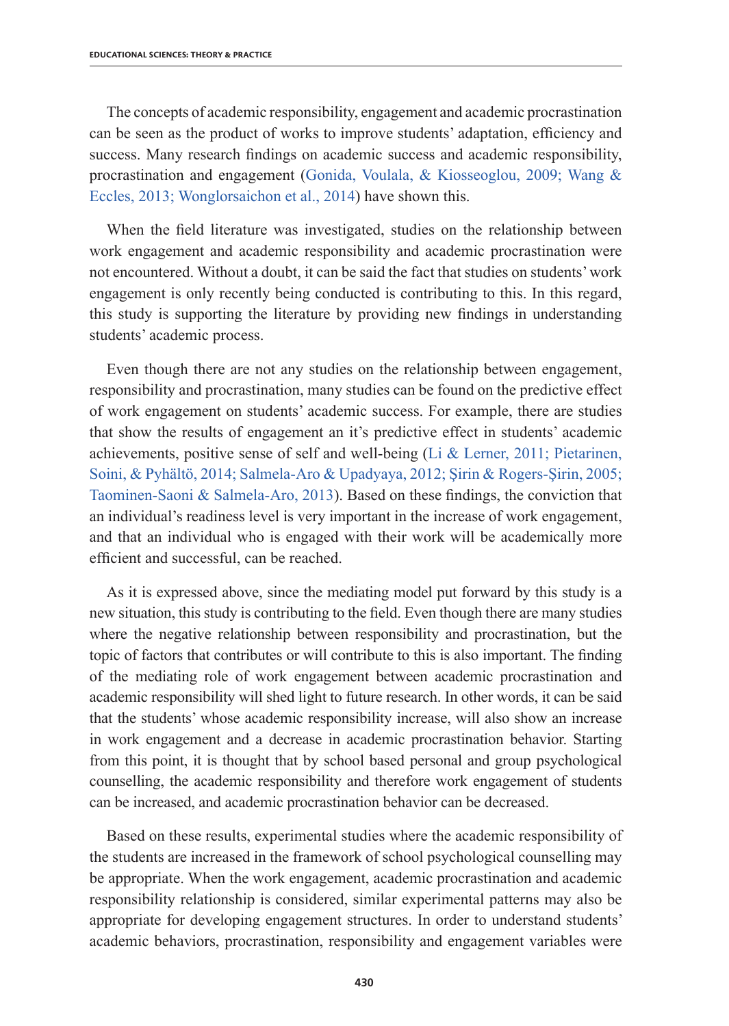The concepts of academic responsibility, engagement and academic procrastination can be seen as the product of works to improve students' adaptation, efficiency and success. Many research findings on academic success and academic responsibility, procrastination and engagement (Gonida, Voulala, & Kiosseoglou, 2009; Wang & Eccles, 2013; Wonglorsaichon et al., 2014) have shown this.

When the field literature was investigated, studies on the relationship between work engagement and academic responsibility and academic procrastination were not encountered. Without a doubt, it can be said the fact that studies on students' work engagement is only recently being conducted is contributing to this. In this regard, this study is supporting the literature by providing new findings in understanding students' academic process.

Even though there are not any studies on the relationship between engagement, responsibility and procrastination, many studies can be found on the predictive effect of work engagement on students' academic success. For example, there are studies that show the results of engagement an it's predictive effect in students' academic achievements, positive sense of self and well-being (Li & Lerner, 2011; Pietarinen, Soini, & Pyhältö, 2014; Salmela-Aro & Upadyaya, 2012; Şirin & Rogers-Şirin, 2005; Taominen-Saoni & Salmela-Aro, 2013). Based on these findings, the conviction that an individual's readiness level is very important in the increase of work engagement, and that an individual who is engaged with their work will be academically more efficient and successful, can be reached.

As it is expressed above, since the mediating model put forward by this study is a new situation, this study is contributing to the field. Even though there are many studies where the negative relationship between responsibility and procrastination, but the topic of factors that contributes or will contribute to this is also important. The finding of the mediating role of work engagement between academic procrastination and academic responsibility will shed light to future research. In other words, it can be said that the students' whose academic responsibility increase, will also show an increase in work engagement and a decrease in academic procrastination behavior. Starting from this point, it is thought that by school based personal and group psychological counselling, the academic responsibility and therefore work engagement of students can be increased, and academic procrastination behavior can be decreased.

Based on these results, experimental studies where the academic responsibility of the students are increased in the framework of school psychological counselling may be appropriate. When the work engagement, academic procrastination and academic responsibility relationship is considered, similar experimental patterns may also be appropriate for developing engagement structures. In order to understand students' academic behaviors, procrastination, responsibility and engagement variables were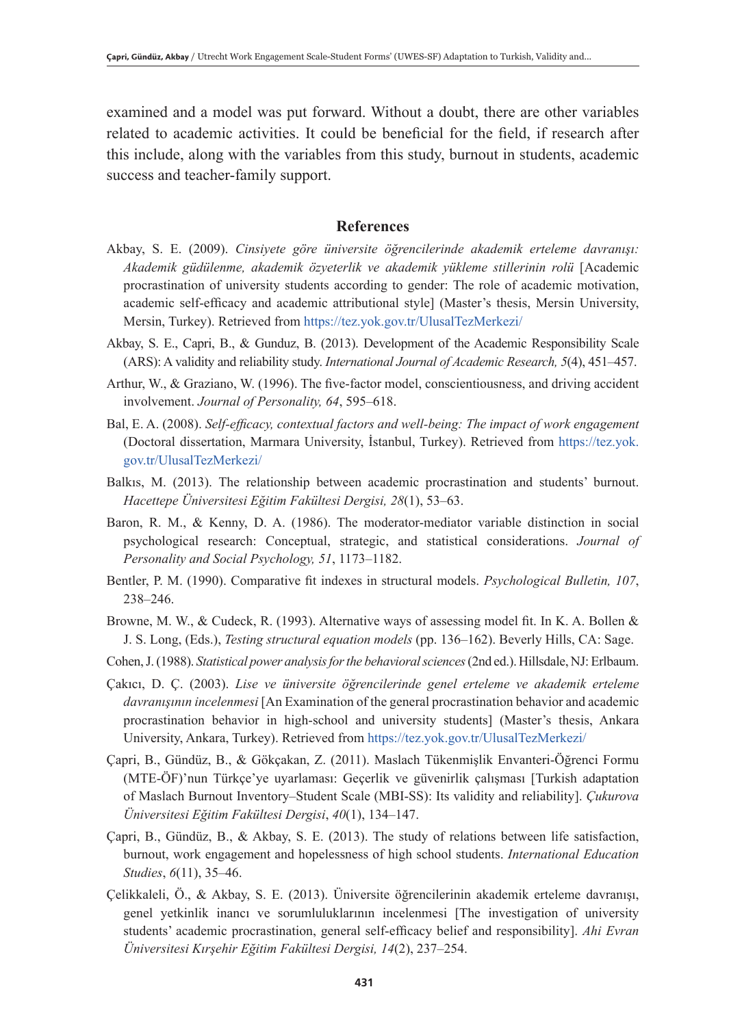examined and a model was put forward. Without a doubt, there are other variables related to academic activities. It could be beneficial for the field, if research after this include, along with the variables from this study, burnout in students, academic success and teacher-family support.

### **References**

- Akbay, S. E. (2009). *Cinsiyete göre üniversite öğrencilerinde akademik erteleme davranışı: Akademik güdülenme, akademik özyeterlik ve akademik yükleme stillerinin rolü* [Academic procrastination of university students according to gender: The role of academic motivation, academic self-efficacy and academic attributional style] (Master's thesis, Mersin University, Mersin, Turkey). Retrieved from https://tez.yok.gov.tr/UlusalTezMerkezi/
- Akbay, S. E., Capri, B., & Gunduz, B. (2013). Development of the Academic Responsibility Scale (ARS): A validity and reliability study. *International Journal of Academic Research, 5*(4), 451–457.
- Arthur, W., & Graziano, W. (1996). The five-factor model, conscientiousness, and driving accident involvement. *Journal of Personality, 64*, 595–618.
- Bal, E. A. (2008). *Self-efficacy, contextual factors and well-being: The impact of work engagement* (Doctoral dissertation, Marmara University, İstanbul, Turkey). Retrieved from https://tez.yok. gov.tr/UlusalTezMerkezi/
- Balkıs, M. (2013). The relationship between academic procrastination and students' burnout. *Hacettepe Üniversitesi Eğitim Fakültesi Dergisi, 28*(1), 53–63.
- Baron, R. M., & Kenny, D. A. (1986). The moderator-mediator variable distinction in social psychological research: Conceptual, strategic, and statistical considerations. *Journal of Personality and Social Psychology, 51*, 1173–1182.
- Bentler, P. M. (1990). Comparative fit indexes in structural models. *Psychological Bulletin, 107*, 238–246.
- Browne, M. W., & Cudeck, R. (1993). Alternative ways of assessing model fit. In K. A. Bollen & J. S. Long, (Eds.), *Testing structural equation models* (pp. 136–162). Beverly Hills, CA: Sage.
- Cohen, J. (1988). *Statistical power analysis for the behavioral sciences* (2nd ed.). Hillsdale, NJ: Erlbaum.
- Çakıcı, D. Ç. (2003). *Lise ve üniversite öğrencilerinde genel erteleme ve akademik erteleme davranışının incelenmesi* [An Examination of the general procrastination behavior and academic procrastination behavior in high-school and university students] (Master's thesis, Ankara University, Ankara, Turkey). Retrieved from https://tez.yok.gov.tr/UlusalTezMerkezi/
- Çapri, B., Gündüz, B., & Gökçakan, Z. (2011). Maslach Tükenmişlik Envanteri-Öğrenci Formu (MTE-ÖF)'nun Türkçe'ye uyarlaması: Geçerlik ve güvenirlik çalışması [Turkish adaptation of Maslach Burnout Inventory–Student Scale (MBI-SS): Its validity and reliability]. *Çukurova Üniversitesi Eğitim Fakültesi Dergisi*, *40*(1), 134–147.
- Çapri, B., Gündüz, B., & Akbay, S. E. (2013). The study of relations between life satisfaction, burnout, work engagement and hopelessness of high school students. *International Education Studies*, *6*(11), 35–46.
- Çelikkaleli, Ö., & Akbay, S. E. (2013). Üniversite öğrencilerinin akademik erteleme davranışı, genel yetkinlik inancı ve sorumluluklarının incelenmesi [The investigation of university students' academic procrastination, general self-efficacy belief and responsibility]. *Ahi Evran Üniversitesi Kırşehir Eğitim Fakültesi Dergisi, 14*(2), 237–254.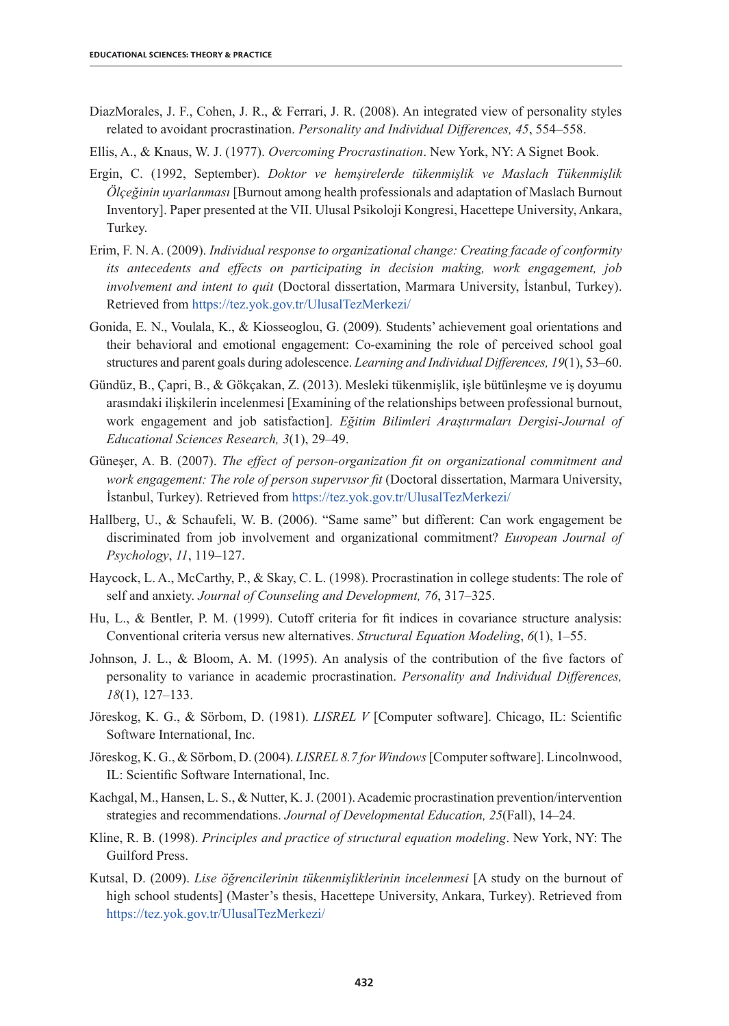- DiazMorales, J. F., Cohen, J. R., & Ferrari, J. R. (2008). An integrated view of personality styles related to avoidant procrastination. *Personality and Individual Differences, 45*, 554–558.
- Ellis, A., & Knaus, W. J. (1977). *Overcoming Procrastination*. New York, NY: A Signet Book.
- Ergin, C. (1992, September). *Doktor ve hemşirelerde tükenmişlik ve Maslach Tükenmişlik Ölçeğinin uyarlanması* [Burnout among health professionals and adaptation of Maslach Burnout Inventory]. Paper presented at the VII. Ulusal Psikoloji Kongresi, Hacettepe University, Ankara, Turkey.
- Erim, F. N. A. (2009). *Individual response to organizational change: Creating facade of conformity its antecedents and effects on participating in decision making, work engagement, job involvement and intent to quit* (Doctoral dissertation, Marmara University, İstanbul, Turkey). Retrieved from https://tez.yok.gov.tr/UlusalTezMerkezi/
- Gonida, E. N., Voulala, K., & Kiosseoglou, G. (2009). Students' achievement goal orientations and their behavioral and emotional engagement: Co-examining the role of perceived school goal structures and parent goals during adolescence. *Learning and Individual Differences, 19*(1), 53–60.
- Gündüz, B., Çapri, B., & Gökçakan, Z. (2013). Mesleki tükenmişlik, işle bütünleşme ve iş doyumu arasındaki ilişkilerin incelenmesi [Examining of the relationships between professional burnout, work engagement and job satisfaction]. *Eğitim Bilimleri Araştırmaları Dergisi-Journal of Educational Sciences Research, 3*(1), 29–49.
- Güneşer, A. B. (2007). *The effect of person-organization fit on organizational commitment and work engagement: The role of person supervısor fit* (Doctoral dissertation, Marmara University, İstanbul, Turkey). Retrieved from https://tez.yok.gov.tr/UlusalTezMerkezi/
- Hallberg, U., & Schaufeli, W. B. (2006). "Same same" but different: Can work engagement be discriminated from job involvement and organizational commitment? *European Journal of Psychology*, *11*, 119–127.
- Haycock, L. A., McCarthy, P., & Skay, C. L. (1998). Procrastination in college students: The role of self and anxiety. *Journal of Counseling and Development, 76*, 317–325.
- Hu, L., & Bentler, P. M. (1999). Cutoff criteria for fit indices in covariance structure analysis: Conventional criteria versus new alternatives. *Structural Equation Modeling*, *6*(1), 1–55.
- Johnson, J. L., & Bloom, A. M. (1995). An analysis of the contribution of the five factors of personality to variance in academic procrastination. *Personality and Individual Differences, 18*(1), 127–133.
- Jöreskog, K. G., & Sörbom, D. (1981). *LISREL V* [Computer software]. Chicago, IL: Scientific Software International, Inc.
- Jöreskog, K. G., & Sörbom, D. (2004). *LISREL 8.7 for Windows* [Computer software]. Lincolnwood, IL: Scientific Software International, Inc.
- Kachgal, M., Hansen, L. S., & Nutter, K. J. (2001). Academic procrastination prevention/intervention strategies and recommendations. *Journal of Developmental Education, 25*(Fall), 14–24.
- Kline, R. B. (1998). *Principles and practice of structural equation modeling*. New York, NY: The Guilford Press.
- Kutsal, D. (2009). *Lise öğrencilerinin tükenmişliklerinin incelenmesi* [A study on the burnout of high school students] (Master's thesis, Hacettepe University, Ankara, Turkey). Retrieved from https://tez.yok.gov.tr/UlusalTezMerkezi/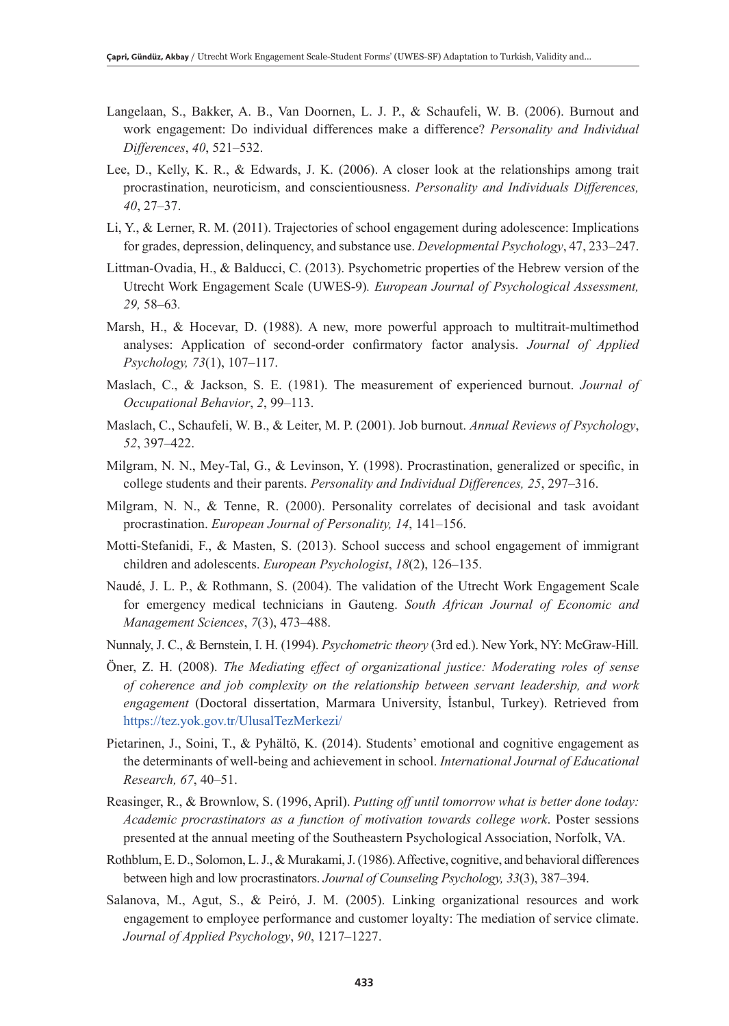- Langelaan, S., Bakker, A. B., Van Doornen, L. J. P., & Schaufeli, W. B. (2006). Burnout and work engagement: Do individual differences make a difference? *Personality and Individual Differences*, *40*, 521–532.
- Lee, D., Kelly, K. R., & Edwards, J. K. (2006). A closer look at the relationships among trait procrastination, neuroticism, and conscientiousness. *Personality and Individuals Differences, 40*, 27–37.
- Li, Y., & Lerner, R. M. (2011). Trajectories of school engagement during adolescence: Implications for grades, depression, delinquency, and substance use. *Developmental Psychology*, 47, 233–247.
- Littman-Ovadia, H., & Balducci, C. (2013). Psychometric properties of the Hebrew version of the Utrecht Work Engagement Scale (UWES-9)*. European Journal of Psychological Assessment, 29,* 58*–*63*.*
- Marsh, H., & Hocevar, D. (1988). A new, more powerful approach to multitrait-multimethod analyses: Application of second-order confirmatory factor analysis. *Journal of Applied Psychology, 73*(1), 107–117.
- Maslach, C., & Jackson, S. E. (1981). The measurement of experienced burnout. *Journal of Occupational Behavior*, *2*, 99–113.
- Maslach, C., Schaufeli, W. B., & Leiter, M. P. (2001). Job burnout. *Annual Reviews of Psychology*, *52*, 397–422.
- Milgram, N. N., Mey-Tal, G., & Levinson, Y. (1998). Procrastination, generalized or specific, in college students and their parents. *Personality and Individual Differences, 25*, 297–316.
- Milgram, N. N., & Tenne, R. (2000). Personality correlates of decisional and task avoidant procrastination. *European Journal of Personality, 14*, 141–156.
- Motti-Stefanidi, F., & Masten, S. (2013). School success and school engagement of immigrant children and adolescents. *European Psychologist*, *18*(2), 126–135.
- Naudé, J. L. P., & Rothmann, S. (2004). The validation of the Utrecht Work Engagement Scale for emergency medical technicians in Gauteng. *South African Journal of Economic and Management Sciences*, *7*(3), 473–488.
- Nunnaly, J. C., & Bernstein, I. H. (1994). *Psychometric theory* (3rd ed.). New York, NY: McGraw-Hill.
- Öner, Z. H. (2008). *The Mediating effect of organizational justice: Moderating roles of sense of coherence and job complexity on the relationship between servant leadership, and work engagement* (Doctoral dissertation, Marmara University, İstanbul, Turkey). Retrieved from https://tez.yok.gov.tr/UlusalTezMerkezi/
- Pietarinen, J., Soini, T., & Pyhältö, K. (2014). Students' emotional and cognitive engagement as the determinants of well-being and achievement in school. *International Journal of Educational Research, 67*, 40–51.
- Reasinger, R., & Brownlow, S. (1996, April). *Putting off until tomorrow what is better done today: Academic procrastinators as a function of motivation towards college work*. Poster sessions presented at the annual meeting of the Southeastern Psychological Association, Norfolk, VA.
- Rothblum, E. D., Solomon, L. J., & Murakami, J. (1986). Affective, cognitive, and behavioral differences between high and low procrastinators. *Journal of Counseling Psychology, 33*(3), 387–394.
- Salanova, M., Agut, S., & Peiró, J. M. (2005). Linking organizational resources and work engagement to employee performance and customer loyalty: The mediation of service climate. *Journal of Applied Psychology*, *90*, 1217–1227.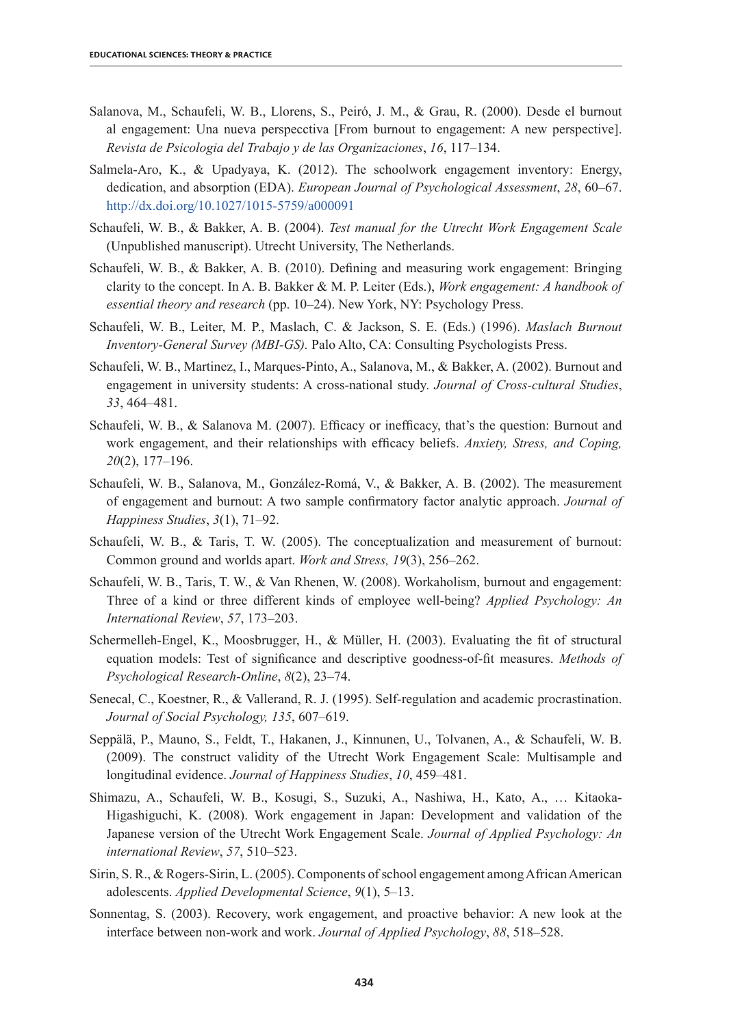- Salanova, M., Schaufeli, W. B., Llorens, S., Peiró, J. M., & Grau, R. (2000). Desde el burnout al engagement: Una nueva perspecctiva [From burnout to engagement: A new perspective]. *Revista de Psicologia del Trabajo y de las Organizaciones*, *16*, 117–134.
- Salmela-Aro, K., & Upadyaya, K. (2012). The schoolwork engagement inventory: Energy, dedication, and absorption (EDA). *European Journal of Psychological Assessment*, *28*, 60–67. http://dx.doi.org/10.1027/1015-5759/a000091
- Schaufeli, W. B., & Bakker, A. B. (2004). *Test manual for the Utrecht Work Engagement Scale* (Unpublished manuscript). Utrecht University, The Netherlands.
- Schaufeli, W. B., & Bakker, A. B. (2010). Defining and measuring work engagement: Bringing clarity to the concept. In A. B. Bakker & M. P. Leiter (Eds.), *Work engagement: A handbook of essential theory and research* (pp. 10–24). New York, NY: Psychology Press.
- Schaufeli, W. B., Leiter, M. P., Maslach, C. & Jackson, S. E. (Eds.) (1996). *Maslach Burnout Inventory-General Survey (MBI-GS).* Palo Alto, CA: Consulting Psychologists Press.
- Schaufeli, W. B., Martinez, I., Marques-Pinto, A., Salanova, M., & Bakker, A. (2002). Burnout and engagement in university students: A cross-national study. *Journal of Cross-cultural Studies*, *33*, 464–481.
- Schaufeli, W. B., & Salanova M. (2007). Efficacy or inefficacy, that's the question: Burnout and work engagement, and their relationships with efficacy beliefs. *Anxiety, Stress, and Coping, 20*(2), 177–196.
- Schaufeli, W. B., Salanova, M., González-Romá, V., & Bakker, A. B. (2002). The measurement of engagement and burnout: A two sample confirmatory factor analytic approach. *Journal of Happiness Studies*, *3*(1), 71–92.
- Schaufeli, W. B., & Taris, T. W. (2005). The conceptualization and measurement of burnout: Common ground and worlds apart. *Work and Stress, 19*(3), 256–262.
- Schaufeli, W. B., Taris, T. W., & Van Rhenen, W. (2008). Workaholism, burnout and engagement: Three of a kind or three different kinds of employee well-being? *Applied Psychology: An International Review*, *57*, 173–203.
- Schermelleh-Engel, K., Moosbrugger, H., & Müller, H. (2003). Evaluating the fit of structural equation models: Test of significance and descriptive goodness-of-fit measures. *Methods of Psychological Research-Online*, *8*(2), 23–74.
- Senecal, C., Koestner, R., & Vallerand, R. J. (1995). Self-regulation and academic procrastination. *Journal of Social Psychology, 135*, 607–619.
- Seppälä, P., Mauno, S., Feldt, T., Hakanen, J., Kinnunen, U., Tolvanen, A., & Schaufeli, W. B. (2009). The construct validity of the Utrecht Work Engagement Scale: Multisample and longitudinal evidence. *Journal of Happiness Studies*, *10*, 459–481.
- Shimazu, A., Schaufeli, W. B., Kosugi, S., Suzuki, A., Nashiwa, H., Kato, A., … Kitaoka-Higashiguchi, K. (2008). Work engagement in Japan: Development and validation of the Japanese version of the Utrecht Work Engagement Scale. *Journal of Applied Psychology: An international Review*, *57*, 510–523.
- Sirin, S. R., & Rogers-Sirin, L. (2005). Components ofschool engagement among African American adolescents. *Applied Developmental Science*, *9*(1), 5–13.
- Sonnentag, S. (2003). Recovery, work engagement, and proactive behavior: A new look at the interface between non-work and work. *Journal of Applied Psychology*, *88*, 518–528.